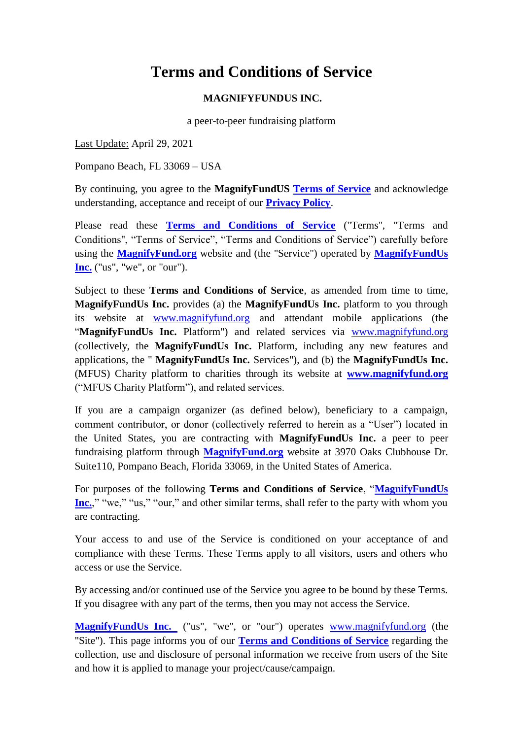# **Terms and Conditions of Service**

### **MAGNIFYFUNDUS INC.**

a peer-to-peer fundraising platform

Last Update: April 29, 2021

Pompano Beach, FL 33069 – USA

By continuing, you agree to the **MagnifyFundUS [Terms of Service](http://magnifyfund.org/terms-of-service/)** and acknowledge understanding, acceptance and receipt of our **[Privacy Policy](http://magnifyfund.org/privacy-policy/)**.

Please read these **[Terms and Conditions of Service](http://magnifyfund.org/terms-of-service/)** ("Terms", "Terms and Conditions", "Terms of Service", "Terms and Conditions of Service") carefully before using the **[MagnifyFund.org](https://magnifyfund.org/)** website and (the "Service") operated by **[MagnifyFundUs](https://magnifyfund.org/)  [Inc.](https://magnifyfund.org/)** ("us", "we", or "our").

Subject to these **Terms and Conditions of Service**, as amended from time to time, **MagnifyFundUs Inc.** provides (a) the **MagnifyFundUs Inc.** platform to you through its website at [www.magnifyfund.org](http://www.magnifyfund.org/) and attendant mobile applications (the "MagnifyFundUs Inc. Platform") and related services via [www.magnifyfund.org](http://www.magnifyfund.org/) (collectively, the **MagnifyFundUs Inc.** Platform, including any new features and applications, the " **MagnifyFundUs Inc.** Services"), and (b) the **MagnifyFundUs Inc.**  (MFUS) Charity platform to charities through its website at **[www.magnifyfund.org](http://www.magnifyfund.org/)** ("MFUS Charity Platform"), and related services.

If you are a campaign organizer (as defined below), beneficiary to a campaign, comment contributor, or donor (collectively referred to herein as a "User") located in the United States, you are contracting with **MagnifyFundUs Inc.** a peer to peer fundraising platform through **[MagnifyFund.org](http://www.magnifyfund.org/)** website at 3970 Oaks Clubhouse Dr. Suite110, Pompano Beach, Florida 33069, in the United States of America.

For purposes of the following **Terms and Conditions of Service**, "MagnifyFundUs **<u>[Inc.](https://magnifyfund.org/)</u>**," "we," "us," "our," and other similar terms, shall refer to the party with whom you are contracting.

Your access to and use of the Service is conditioned on your acceptance of and compliance with these Terms. These Terms apply to all visitors, users and others who access or use the Service.

By accessing and/or continued use of the Service you agree to be bound by these Terms. If you disagree with any part of the terms, then you may not access the Service.

**[MagnifyFundUs Inc.](https://magnifyfund.org/)** ("us", "we", or "our") operates [www.magnifyfund.org](http://www.magnifyfund.org/) (the "Site"). This page informs you of our **[Terms and Conditions of Service](http://magnifyfund.org/terms-of-service/)** regarding the collection, use and disclosure of personal information we receive from users of the Site and how it is applied to manage your project/cause/campaign.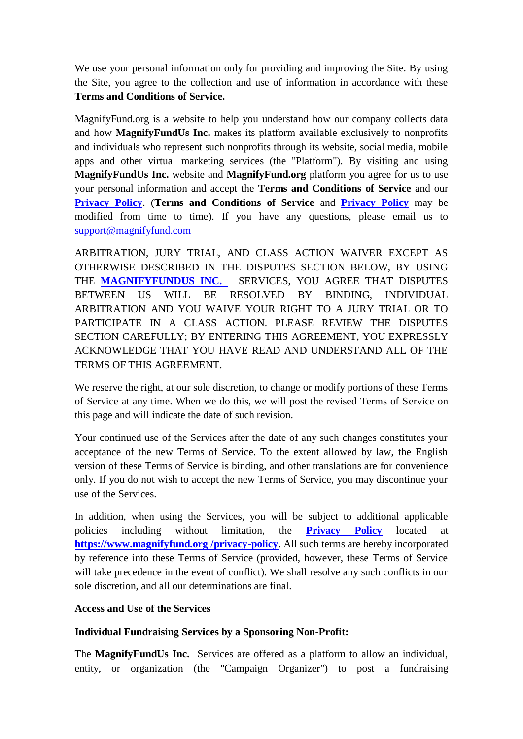We use your personal information only for providing and improving the Site. By using the Site, you agree to the collection and use of information in accordance with these **Terms and Conditions of Service.**

MagnifyFund.org is a website to help you understand how our company collects data and how **MagnifyFundUs Inc.** makes its platform available exclusively to nonprofits and individuals who represent such nonprofits through its website, social media, mobile apps and other virtual marketing services (the "Platform"). By visiting and using **MagnifyFundUs Inc.** website and **MagnifyFund.org** platform you agree for us to use your personal information and accept the **Terms and Conditions of Service** and our **[Privacy](http://magnifyfund.org/privacy-policy/) Policy**. (**Terms and Conditions of Service** and **[Privacy](http://magnifyfund.org/privacy-policy/) Policy** may be modified from time to time). If you have any questions, please email us to [support@magnifyfund.com](mailto:support@magnifyfund.com)

ARBITRATION, JURY TRIAL, AND CLASS ACTION WAIVER EXCEPT AS OTHERWISE DESCRIBED IN THE DISPUTES SECTION BELOW, BY USING THE **[MAGNIFYFUNDUS INC.](http://www.magnifyfund.org/)** SERVICES, YOU AGREE THAT DISPUTES BETWEEN US WILL BE RESOLVED BY BINDING, INDIVIDUAL ARBITRATION AND YOU WAIVE YOUR RIGHT TO A JURY TRIAL OR TO PARTICIPATE IN A CLASS ACTION. PLEASE REVIEW THE DISPUTES SECTION CAREFULLY; BY ENTERING THIS AGREEMENT, YOU EXPRESSLY ACKNOWLEDGE THAT YOU HAVE READ AND UNDERSTAND ALL OF THE TERMS OF THIS AGREEMENT.

We reserve the right, at our sole discretion, to change or modify portions of these Terms of Service at any time. When we do this, we will post the revised Terms of Service on this page and will indicate the date of such revision.

Your continued use of the Services after the date of any such changes constitutes your acceptance of the new Terms of Service. To the extent allowed by law, the English version of these Terms of Service is binding, and other translations are for convenience only. If you do not wish to accept the new Terms of Service, you may discontinue your use of the Services.

In addition, when using the Services, you will be subject to additional applicable policies including without limitation, the **[Privacy Policy](http://magnifyfund.org/privacy-policy/)** located at **[https://www.magnifyfund.org /privacy-policy](https://www.magnifyfund.org/privacy-policy)**. All such terms are hereby incorporated by reference into these Terms of Service (provided, however, these Terms of Service will take precedence in the event of conflict). We shall resolve any such conflicts in our sole discretion, and all our determinations are final.

### **Access and Use of the Services**

### **Individual Fundraising Services by a Sponsoring Non-Profit:**

The **MagnifyFundUs Inc.** Services are offered as a platform to allow an individual, entity, or organization (the "Campaign Organizer") to post a fundraising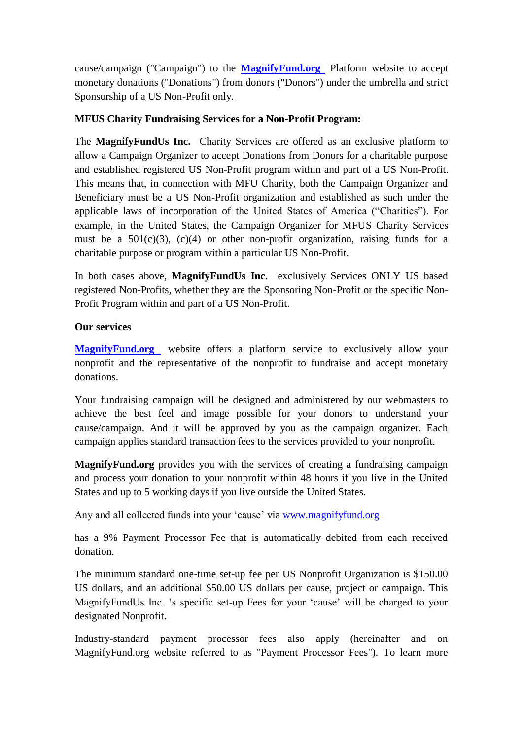cause/campaign ("Campaign") to the **[MagnifyFund.org](http://www.magnifyfund.org/)** Platform website to accept monetary donations ("Donations") from donors ("Donors") under the umbrella and strict Sponsorship of a US Non-Profit only.

### **MFUS Charity Fundraising Services for a Non-Profit Program:**

The **MagnifyFundUs Inc.** Charity Services are offered as an exclusive platform to allow a Campaign Organizer to accept Donations from Donors for a charitable purpose and established registered US Non-Profit program within and part of a US Non-Profit. This means that, in connection with MFU Charity, both the Campaign Organizer and Beneficiary must be a US Non-Profit organization and established as such under the applicable laws of incorporation of the United States of America ("Charities"). For example, in the United States, the Campaign Organizer for MFUS Charity Services must be a  $501(c)(3)$ ,  $(c)(4)$  or other non-profit organization, raising funds for a charitable purpose or program within a particular US Non-Profit.

In both cases above, **MagnifyFundUs Inc.** exclusively Services ONLY US based registered Non-Profits, whether they are the Sponsoring Non-Profit or the specific Non-Profit Program within and part of a US Non-Profit.

### **Our services**

**[MagnifyFund.org](http://www.magnifyfund.org/)** website offers a platform service to exclusively allow your nonprofit and the representative of the nonprofit to fundraise and accept monetary donations.

Your fundraising campaign will be designed and administered by our webmasters to achieve the best feel and image possible for your donors to understand your cause/campaign. And it will be approved by you as the campaign organizer. Each campaign applies standard transaction fees to the services provided to your nonprofit.

**MagnifyFund.org** provides you with the services of creating a fundraising campaign and process your donation to your nonprofit within 48 hours if you live in the United States and up to 5 working days if you live outside the United States.

Any and all collected funds into your 'cause' via www.magnifyfund.org

has a 9% Payment Processor Fee that is automatically debited from each received donation.

The minimum standard one-time set-up fee per US Nonprofit Organization is \$150.00 US dollars, and an additional \$50.00 US dollars per cause, project or campaign. This MagnifyFundUs Inc. 's specific set-up Fees for your 'cause' will be charged to your designated Nonprofit.

Industry-standard payment processor fees also apply (hereinafter and on MagnifyFund.org website referred to as "Payment Processor Fees"). To learn more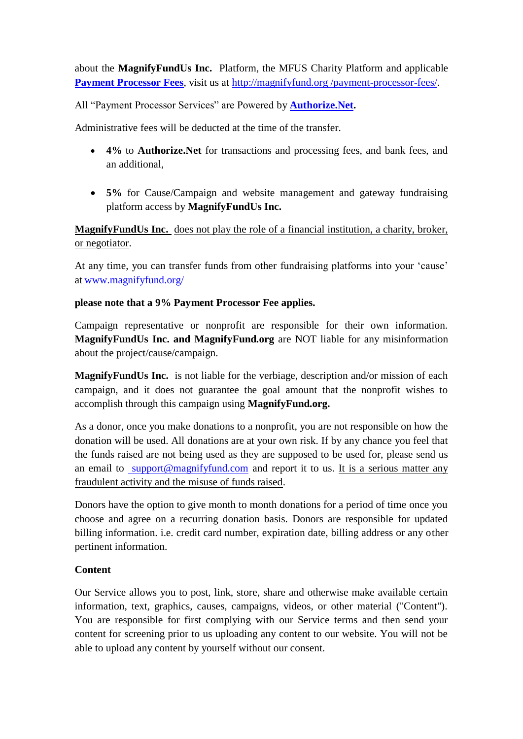about the **MagnifyFundUs Inc.** Platform, the MFUS Charity Platform and applicable **[Payment Processor Fees](http://magnifyfund.org/payment-processor-fees/)**, visit us at [http://magnifyfund.org /payment-processor-fees/.](http://magnifyfund.org/payment-processor-fees/)

All "Payment Processor Services" are Powered by **[Authorize.Net.](https://www.authorize.net/)** 

Administrative fees will be deducted at the time of the transfer.

- **4%** to **Authorize.Net** for transactions and processing fees, and bank fees, and an additional,
- **5%** for Cause/Campaign and website management and gateway fundraising platform access by **MagnifyFundUs Inc.**

# **MagnifyFundUs Inc.** does not play the role of a financial institution, a charity, broker, or negotiator.

At any time, you can transfer funds from other fundraising platforms into your 'cause' at [www.magnifyfund.org/](http://www.magnifyfund.org/)

# **please note that a 9% Payment Processor Fee applies.**

Campaign representative or nonprofit are responsible for their own information. **MagnifyFundUs Inc. and MagnifyFund.org** are NOT liable for any misinformation about the project/cause/campaign.

**MagnifyFundUs Inc.** is not liable for the verbiage, description and/or mission of each campaign, and it does not guarantee the goal amount that the nonprofit wishes to accomplish through this campaign using **MagnifyFund.org.**

As a donor, once you make donations to a nonprofit, you are not responsible on how the donation will be used. All donations are at your own risk. If by any chance you feel that the funds raised are not being used as they are supposed to be used for, please send us an email to [support@magnifyfund.com](mailto:support@magnifyfund.com) and report it to us. It is a serious matter any fraudulent activity and the misuse of funds raised.

Donors have the option to give month to month donations for a period of time once you choose and agree on a recurring donation basis. Donors are responsible for updated billing information. i.e. credit card number, expiration date, billing address or any other pertinent information.

# **Content**

Our Service allows you to post, link, store, share and otherwise make available certain information, text, graphics, causes, campaigns, videos, or other material ("Content"). You are responsible for first complying with our Service terms and then send your content for screening prior to us uploading any content to our website. You will not be able to upload any content by yourself without our consent.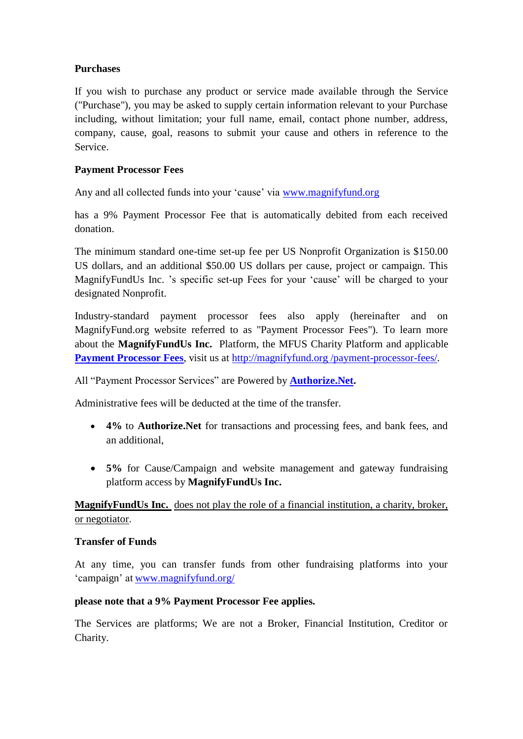# **Purchases**

If you wish to purchase any product or service made available through the Service ("Purchase"), you may be asked to supply certain information relevant to your Purchase including, without limitation; your full name, email, contact phone number, address, company, cause, goal, reasons to submit your cause and others in reference to the Service.

### **Payment Processor Fees**

Any and all collected funds into your 'cause' via www.magnifyfund.org

has a 9% Payment Processor Fee that is automatically debited from each received donation.

The minimum standard one-time set-up fee per US Nonprofit Organization is \$150.00 US dollars, and an additional \$50.00 US dollars per cause, project or campaign. This MagnifyFundUs Inc. 's specific set-up Fees for your 'cause' will be charged to your designated Nonprofit.

Industry-standard payment processor fees also apply (hereinafter and on MagnifyFund.org website referred to as "Payment Processor Fees"). To learn more about the **MagnifyFundUs Inc.** Platform, the MFUS Charity Platform and applicable **[Payment Processor Fees](http://magnifyfund.org/payment-processor-fees/)**, visit us at [http://magnifyfund.org /payment-processor-fees/.](http://magnifyfund.org/payment-processor-fees/)

All "Payment Processor Services" are Powered by **[Authorize.Net.](https://www.authorize.net/)** 

Administrative fees will be deducted at the time of the transfer.

- **4%** to **Authorize.Net** for transactions and processing fees, and bank fees, and an additional,
- **5%** for Cause/Campaign and website management and gateway fundraising platform access by **MagnifyFundUs Inc.**

MagnifyFundUs Inc. does not play the role of a financial institution, a charity, broker, or negotiator.

### **Transfer of Funds**

At any time, you can transfer funds from other fundraising platforms into your ‗campaign' at [www.magnifyfund.org/](http://www.magnifyfund.org/)

### **please note that a 9% Payment Processor Fee applies.**

The Services are platforms; We are not a Broker, Financial Institution, Creditor or Charity.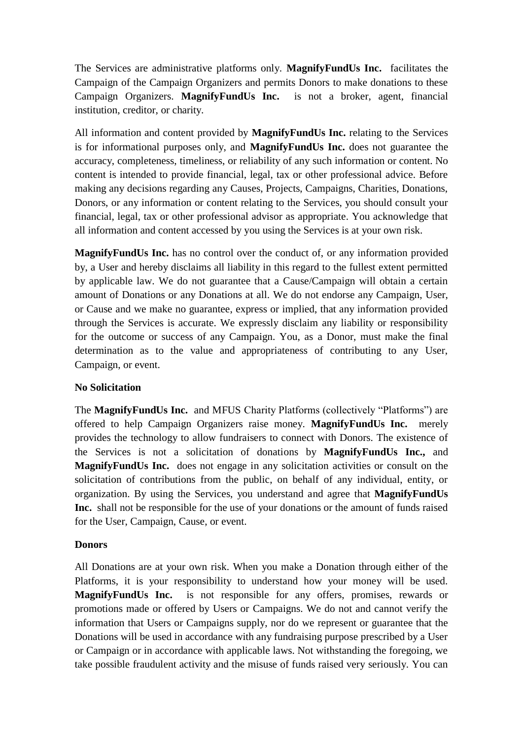The Services are administrative platforms only. **MagnifyFundUs Inc.** facilitates the Campaign of the Campaign Organizers and permits Donors to make donations to these Campaign Organizers. **MagnifyFundUs Inc.** is not a broker, agent, financial institution, creditor, or charity.

All information and content provided by **MagnifyFundUs Inc.** relating to the Services is for informational purposes only, and **MagnifyFundUs Inc.** does not guarantee the accuracy, completeness, timeliness, or reliability of any such information or content. No content is intended to provide financial, legal, tax or other professional advice. Before making any decisions regarding any Causes, Projects, Campaigns, Charities, Donations, Donors, or any information or content relating to the Services, you should consult your financial, legal, tax or other professional advisor as appropriate. You acknowledge that all information and content accessed by you using the Services is at your own risk.

**MagnifyFundUs Inc.** has no control over the conduct of, or any information provided by, a User and hereby disclaims all liability in this regard to the fullest extent permitted by applicable law. We do not guarantee that a Cause/Campaign will obtain a certain amount of Donations or any Donations at all. We do not endorse any Campaign, User, or Cause and we make no guarantee, express or implied, that any information provided through the Services is accurate. We expressly disclaim any liability or responsibility for the outcome or success of any Campaign. You, as a Donor, must make the final determination as to the value and appropriateness of contributing to any User, Campaign, or event.

### **No Solicitation**

The **MagnifyFundUs Inc.** and MFUS Charity Platforms (collectively "Platforms") are offered to help Campaign Organizers raise money. **MagnifyFundUs Inc.** merely provides the technology to allow fundraisers to connect with Donors. The existence of the Services is not a solicitation of donations by **MagnifyFundUs Inc.,** and **MagnifyFundUs Inc.** does not engage in any solicitation activities or consult on the solicitation of contributions from the public, on behalf of any individual, entity, or organization. By using the Services, you understand and agree that **MagnifyFundUs Inc.** shall not be responsible for the use of your donations or the amount of funds raised for the User, Campaign, Cause, or event.

### **Donors**

All Donations are at your own risk. When you make a Donation through either of the Platforms, it is your responsibility to understand how your money will be used. **MagnifyFundUs Inc.** is not responsible for any offers, promises, rewards or promotions made or offered by Users or Campaigns. We do not and cannot verify the information that Users or Campaigns supply, nor do we represent or guarantee that the Donations will be used in accordance with any fundraising purpose prescribed by a User or Campaign or in accordance with applicable laws. Not withstanding the foregoing, we take possible fraudulent activity and the misuse of funds raised very seriously. You can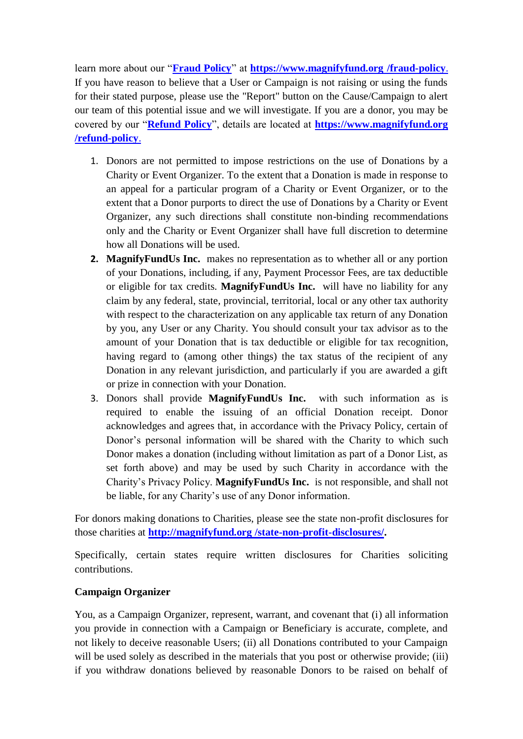learn more about our "**[Fraud Policy](http://magnifyfund.org/fraud-policy/)**" at **https://www.magnifyfund.org/fraud-policy.** If you have reason to believe that a User or Campaign is not raising or using the funds for their stated purpose, please use the "Report" button on the Cause/Campaign to alert our team of this potential issue and we will investigate. If you are a donor, you may be covered by our "**[Refund Policy](http://magnifyfund.org/refund-policy/)**", details are located at **https://www.magnifyfund.org [/refund-policy](http://magnifyfund.org/refund-policy/)**.

- 1. Donors are not permitted to impose restrictions on the use of Donations by a Charity or Event Organizer. To the extent that a Donation is made in response to an appeal for a particular program of a Charity or Event Organizer, or to the extent that a Donor purports to direct the use of Donations by a Charity or Event Organizer, any such directions shall constitute non-binding recommendations only and the Charity or Event Organizer shall have full discretion to determine how all Donations will be used.
- **2. MagnifyFundUs Inc.** makes no representation as to whether all or any portion of your Donations, including, if any, Payment Processor Fees, are tax deductible or eligible for tax credits. **MagnifyFundUs Inc.** will have no liability for any claim by any federal, state, provincial, territorial, local or any other tax authority with respect to the characterization on any applicable tax return of any Donation by you, any User or any Charity. You should consult your tax advisor as to the amount of your Donation that is tax deductible or eligible for tax recognition, having regard to (among other things) the tax status of the recipient of any Donation in any relevant jurisdiction, and particularly if you are awarded a gift or prize in connection with your Donation.
- 3. Donors shall provide **MagnifyFundUs Inc.** with such information as is required to enable the issuing of an official Donation receipt. Donor acknowledges and agrees that, in accordance with the Privacy Policy, certain of Donor's personal information will be shared with the Charity to which such Donor makes a donation (including without limitation as part of a Donor List, as set forth above) and may be used by such Charity in accordance with the Charity's Privacy Policy. **MagnifyFundUs Inc.** is not responsible, and shall not be liable, for any Charity's use of any Donor information.

For donors making donations to Charities, please see the state non-profit disclosures for those charities at **http://magnifyfund.org [/state-non-profit-disclosures/.](http://magnifyfund.org/state-non-profit-disclosures/)**

Specifically, certain states require written disclosures for Charities soliciting contributions.

### **Campaign Organizer**

You, as a Campaign Organizer, represent, warrant, and covenant that (i) all information you provide in connection with a Campaign or Beneficiary is accurate, complete, and not likely to deceive reasonable Users; (ii) all Donations contributed to your Campaign will be used solely as described in the materials that you post or otherwise provide; (iii) if you withdraw donations believed by reasonable Donors to be raised on behalf of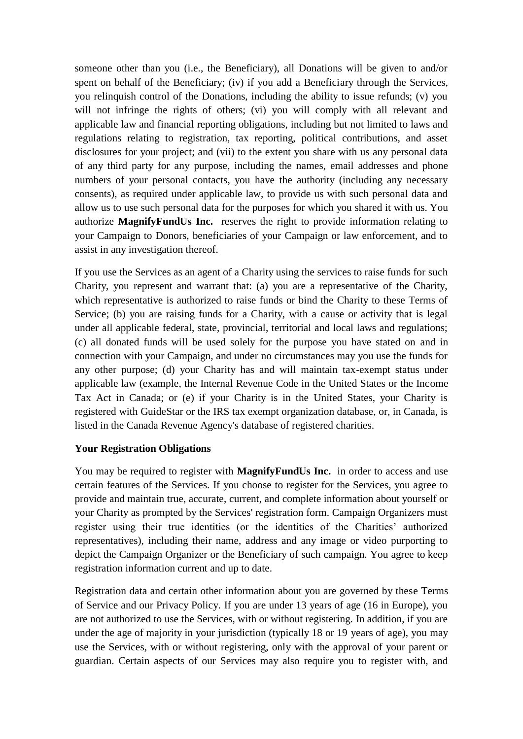someone other than you (i.e., the Beneficiary), all Donations will be given to and/or spent on behalf of the Beneficiary; (iv) if you add a Beneficiary through the Services, you relinquish control of the Donations, including the ability to issue refunds; (v) you will not infringe the rights of others; (vi) you will comply with all relevant and applicable law and financial reporting obligations, including but not limited to laws and regulations relating to registration, tax reporting, political contributions, and asset disclosures for your project; and (vii) to the extent you share with us any personal data of any third party for any purpose, including the names, email addresses and phone numbers of your personal contacts, you have the authority (including any necessary consents), as required under applicable law, to provide us with such personal data and allow us to use such personal data for the purposes for which you shared it with us. You authorize **MagnifyFundUs Inc.** reserves the right to provide information relating to your Campaign to Donors, beneficiaries of your Campaign or law enforcement, and to assist in any investigation thereof.

If you use the Services as an agent of a Charity using the services to raise funds for such Charity, you represent and warrant that: (a) you are a representative of the Charity, which representative is authorized to raise funds or bind the Charity to these Terms of Service; (b) you are raising funds for a Charity, with a cause or activity that is legal under all applicable federal, state, provincial, territorial and local laws and regulations; (c) all donated funds will be used solely for the purpose you have stated on and in connection with your Campaign, and under no circumstances may you use the funds for any other purpose; (d) your Charity has and will maintain tax-exempt status under applicable law (example, the Internal Revenue Code in the United States or the Income Tax Act in Canada; or (e) if your Charity is in the United States, your Charity is registered with GuideStar or the IRS tax exempt organization database, or, in Canada, is listed in the Canada Revenue Agency's database of registered charities.

### **Your Registration Obligations**

You may be required to register with **MagnifyFundUs Inc.** in order to access and use certain features of the Services. If you choose to register for the Services, you agree to provide and maintain true, accurate, current, and complete information about yourself or your Charity as prompted by the Services' registration form. Campaign Organizers must register using their true identities (or the identities of the Charities' authorized representatives), including their name, address and any image or video purporting to depict the Campaign Organizer or the Beneficiary of such campaign. You agree to keep registration information current and up to date.

Registration data and certain other information about you are governed by these Terms of Service and our Privacy Policy. If you are under 13 years of age (16 in Europe), you are not authorized to use the Services, with or without registering. In addition, if you are under the age of majority in your jurisdiction (typically 18 or 19 years of age), you may use the Services, with or without registering, only with the approval of your parent or guardian. Certain aspects of our Services may also require you to register with, and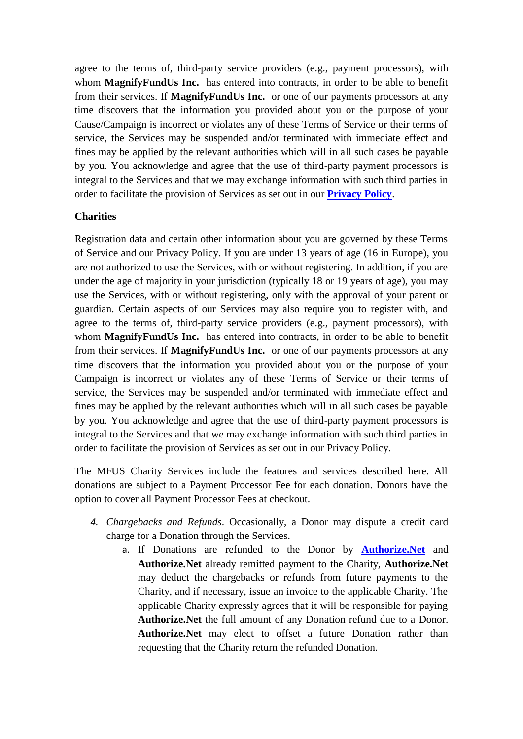agree to the terms of, third-party service providers (e.g., payment processors), with whom **MagnifyFundUs Inc.** has entered into contracts, in order to be able to benefit from their services. If **MagnifyFundUs Inc.** or one of our payments processors at any time discovers that the information you provided about you or the purpose of your Cause/Campaign is incorrect or violates any of these Terms of Service or their terms of service, the Services may be suspended and/or terminated with immediate effect and fines may be applied by the relevant authorities which will in all such cases be payable by you. You acknowledge and agree that the use of third-party payment processors is integral to the Services and that we may exchange information with such third parties in order to facilitate the provision of Services as set out in our **[Privacy Policy](http://magnifyfund.org/privacy-policy/)**.

#### **Charities**

Registration data and certain other information about you are governed by these Terms of Service and our Privacy Policy. If you are under 13 years of age (16 in Europe), you are not authorized to use the Services, with or without registering. In addition, if you are under the age of majority in your jurisdiction (typically 18 or 19 years of age), you may use the Services, with or without registering, only with the approval of your parent or guardian. Certain aspects of our Services may also require you to register with, and agree to the terms of, third-party service providers (e.g., payment processors), with whom **MagnifyFundUs Inc.** has entered into contracts, in order to be able to benefit from their services. If **MagnifyFundUs Inc.** or one of our payments processors at any time discovers that the information you provided about you or the purpose of your Campaign is incorrect or violates any of these Terms of Service or their terms of service, the Services may be suspended and/or terminated with immediate effect and fines may be applied by the relevant authorities which will in all such cases be payable by you. You acknowledge and agree that the use of third-party payment processors is integral to the Services and that we may exchange information with such third parties in order to facilitate the provision of Services as set out in our Privacy Policy.

The MFUS Charity Services include the features and services described here. All donations are subject to a Payment Processor Fee for each donation. Donors have the option to cover all Payment Processor Fees at checkout.

- *4. Chargebacks and Refunds*. Occasionally, a Donor may dispute a credit card charge for a Donation through the Services.
	- a. If Donations are refunded to the Donor by **[Authorize.Net](https://www.authorize.net/)** and **Authorize.Net** already remitted payment to the Charity, **Authorize.Net** may deduct the chargebacks or refunds from future payments to the Charity, and if necessary, issue an invoice to the applicable Charity. The applicable Charity expressly agrees that it will be responsible for paying **Authorize.Net** the full amount of any Donation refund due to a Donor. **Authorize.Net** may elect to offset a future Donation rather than requesting that the Charity return the refunded Donation.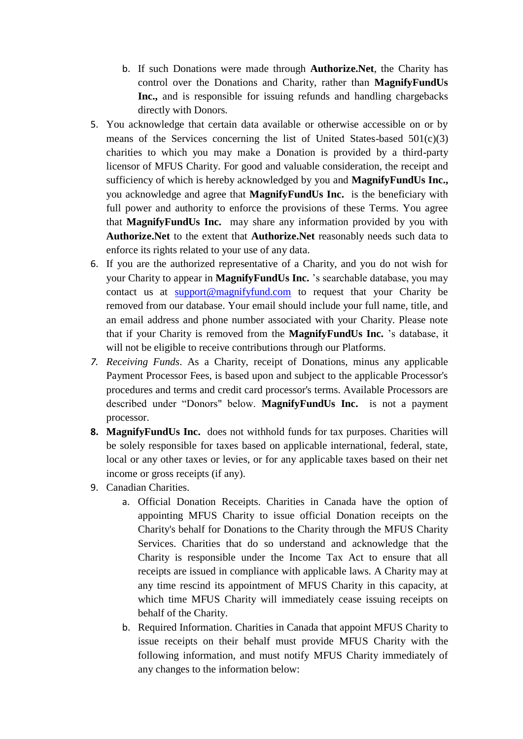- b. If such Donations were made through **Authorize.Net**, the Charity has control over the Donations and Charity, rather than **MagnifyFundUs Inc.,** and is responsible for issuing refunds and handling chargebacks directly with Donors.
- 5. You acknowledge that certain data available or otherwise accessible on or by means of the Services concerning the list of United States-based  $501(c)(3)$ charities to which you may make a Donation is provided by a third-party licensor of MFUS Charity. For good and valuable consideration, the receipt and sufficiency of which is hereby acknowledged by you and **MagnifyFundUs Inc.,** you acknowledge and agree that **MagnifyFundUs Inc.** is the beneficiary with full power and authority to enforce the provisions of these Terms. You agree that **MagnifyFundUs Inc.** may share any information provided by you with **Authorize.Net** to the extent that **Authorize.Net** reasonably needs such data to enforce its rights related to your use of any data.
- 6. If you are the authorized representative of a Charity, and you do not wish for your Charity to appear in **MagnifyFundUs Inc.** 's searchable database, you may contact us at [support@magnifyfund.com](mailto:support@magnifyfund.com) to request that your Charity be removed from our database. Your email should include your full name, title, and an email address and phone number associated with your Charity. Please note that if your Charity is removed from the **MagnifyFundUs Inc.** 's database, it will not be eligible to receive contributions through our Platforms.
- *7. Receiving Funds*. As a Charity, receipt of Donations, minus any applicable Payment Processor Fees, is based upon and subject to the applicable Processor's procedures and terms and credit card processor's terms. Available Processors are described under "Donors" below. MagnifyFundUs Inc. is not a payment processor.
- **8. MagnifyFundUs Inc.** does not withhold funds for tax purposes. Charities will be solely responsible for taxes based on applicable international, federal, state, local or any other taxes or levies, or for any applicable taxes based on their net income or gross receipts (if any).
- 9. Canadian Charities.
	- a. Official Donation Receipts. Charities in Canada have the option of appointing MFUS Charity to issue official Donation receipts on the Charity's behalf for Donations to the Charity through the MFUS Charity Services. Charities that do so understand and acknowledge that the Charity is responsible under the Income Tax Act to ensure that all receipts are issued in compliance with applicable laws. A Charity may at any time rescind its appointment of MFUS Charity in this capacity, at which time MFUS Charity will immediately cease issuing receipts on behalf of the Charity.
	- b. Required Information. Charities in Canada that appoint MFUS Charity to issue receipts on their behalf must provide MFUS Charity with the following information, and must notify MFUS Charity immediately of any changes to the information below: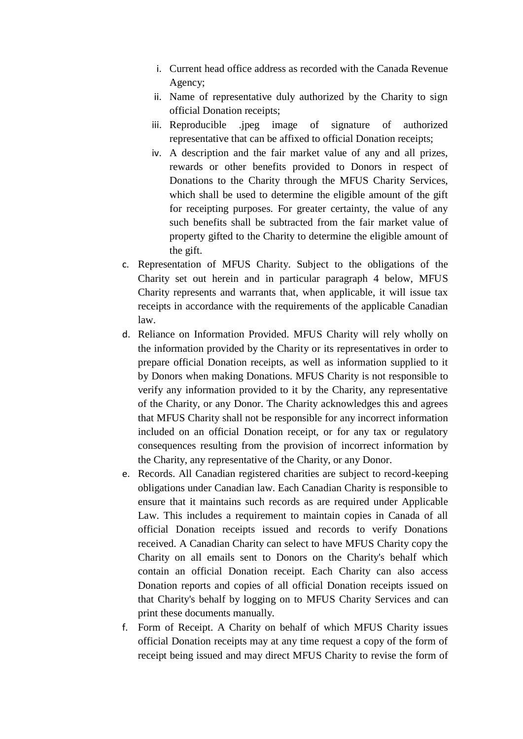- i. Current head office address as recorded with the Canada Revenue Agency;
- ii. Name of representative duly authorized by the Charity to sign official Donation receipts;
- iii. Reproducible .jpeg image of signature of authorized representative that can be affixed to official Donation receipts;
- iv. A description and the fair market value of any and all prizes, rewards or other benefits provided to Donors in respect of Donations to the Charity through the MFUS Charity Services, which shall be used to determine the eligible amount of the gift for receipting purposes. For greater certainty, the value of any such benefits shall be subtracted from the fair market value of property gifted to the Charity to determine the eligible amount of the gift.
- c. Representation of MFUS Charity. Subject to the obligations of the Charity set out herein and in particular paragraph 4 below, MFUS Charity represents and warrants that, when applicable, it will issue tax receipts in accordance with the requirements of the applicable Canadian law.
- d. Reliance on Information Provided. MFUS Charity will rely wholly on the information provided by the Charity or its representatives in order to prepare official Donation receipts, as well as information supplied to it by Donors when making Donations. MFUS Charity is not responsible to verify any information provided to it by the Charity, any representative of the Charity, or any Donor. The Charity acknowledges this and agrees that MFUS Charity shall not be responsible for any incorrect information included on an official Donation receipt, or for any tax or regulatory consequences resulting from the provision of incorrect information by the Charity, any representative of the Charity, or any Donor.
- e. Records. All Canadian registered charities are subject to record-keeping obligations under Canadian law. Each Canadian Charity is responsible to ensure that it maintains such records as are required under Applicable Law. This includes a requirement to maintain copies in Canada of all official Donation receipts issued and records to verify Donations received. A Canadian Charity can select to have MFUS Charity copy the Charity on all emails sent to Donors on the Charity's behalf which contain an official Donation receipt. Each Charity can also access Donation reports and copies of all official Donation receipts issued on that Charity's behalf by logging on to MFUS Charity Services and can print these documents manually.
- f. Form of Receipt. A Charity on behalf of which MFUS Charity issues official Donation receipts may at any time request a copy of the form of receipt being issued and may direct MFUS Charity to revise the form of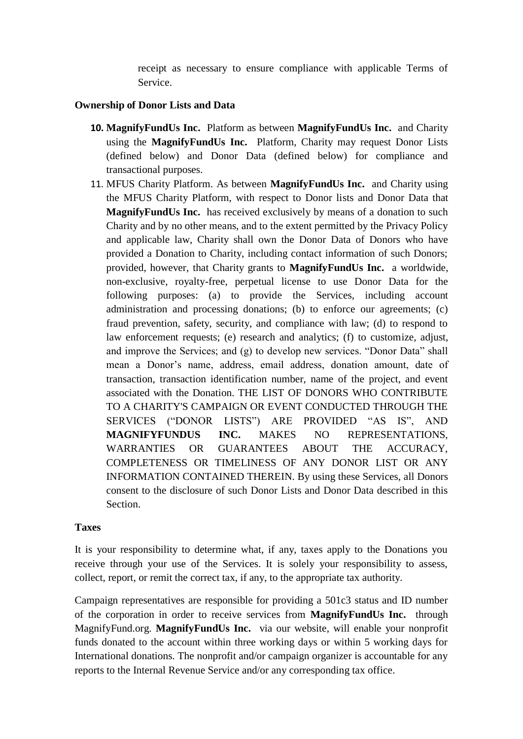receipt as necessary to ensure compliance with applicable Terms of Service.

#### **Ownership of Donor Lists and Data**

- **10. MagnifyFundUs Inc.** Platform as between **MagnifyFundUs Inc.** and Charity using the **MagnifyFundUs Inc.** Platform, Charity may request Donor Lists (defined below) and Donor Data (defined below) for compliance and transactional purposes.
- 11. MFUS Charity Platform. As between **MagnifyFundUs Inc.** and Charity using the MFUS Charity Platform, with respect to Donor lists and Donor Data that **MagnifyFundUs Inc.** has received exclusively by means of a donation to such Charity and by no other means, and to the extent permitted by the Privacy Policy and applicable law, Charity shall own the Donor Data of Donors who have provided a Donation to Charity, including contact information of such Donors; provided, however, that Charity grants to **MagnifyFundUs Inc.** a worldwide, non-exclusive, royalty-free, perpetual license to use Donor Data for the following purposes: (a) to provide the Services, including account administration and processing donations; (b) to enforce our agreements; (c) fraud prevention, safety, security, and compliance with law; (d) to respond to law enforcement requests; (e) research and analytics; (f) to customize, adjust, and improve the Services; and  $(g)$  to develop new services. "Donor Data" shall mean a Donor's name, address, email address, donation amount, date of transaction, transaction identification number, name of the project, and event associated with the Donation. THE LIST OF DONORS WHO CONTRIBUTE TO A CHARITY'S CAMPAIGN OR EVENT CONDUCTED THROUGH THE SERVICES ("DONOR LISTS") ARE PROVIDED "AS IS", AND **MAGNIFYFUNDUS INC.** MAKES NO REPRESENTATIONS, WARRANTIES OR GUARANTEES ABOUT THE ACCURACY, COMPLETENESS OR TIMELINESS OF ANY DONOR LIST OR ANY INFORMATION CONTAINED THEREIN. By using these Services, all Donors consent to the disclosure of such Donor Lists and Donor Data described in this Section.

#### **Taxes**

It is your responsibility to determine what, if any, taxes apply to the Donations you receive through your use of the Services. It is solely your responsibility to assess, collect, report, or remit the correct tax, if any, to the appropriate tax authority.

Campaign representatives are responsible for providing a 501c3 status and ID number of the corporation in order to receive services from **MagnifyFundUs Inc.** through MagnifyFund.org. **MagnifyFundUs Inc.** via our website, will enable your nonprofit funds donated to the account within three working days or within 5 working days for International donations. The nonprofit and/or campaign organizer is accountable for any reports to the Internal Revenue Service and/or any corresponding tax office.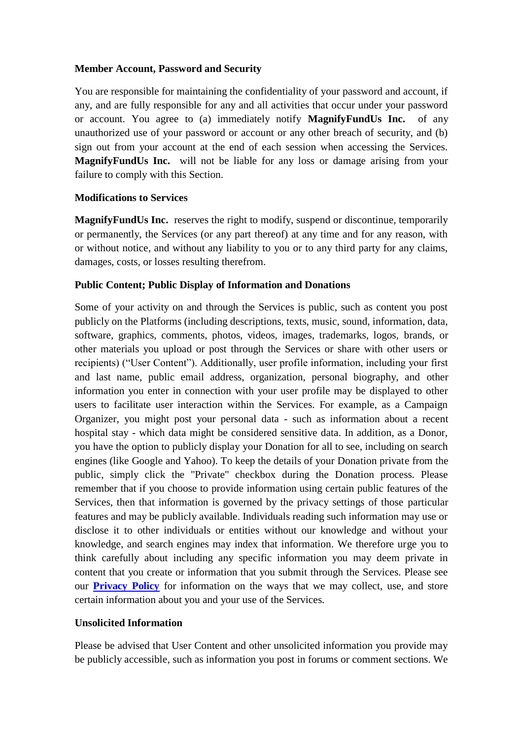#### **Member Account, Password and Security**

You are responsible for maintaining the confidentiality of your password and account, if any, and are fully responsible for any and all activities that occur under your password or account. You agree to (a) immediately notify **MagnifyFundUs Inc.** of any unauthorized use of your password or account or any other breach of security, and (b) sign out from your account at the end of each session when accessing the Services. **MagnifyFundUs Inc.** will not be liable for any loss or damage arising from your failure to comply with this Section.

#### **Modifications to Services**

**MagnifyFundUs Inc.** reserves the right to modify, suspend or discontinue, temporarily or permanently, the Services (or any part thereof) at any time and for any reason, with or without notice, and without any liability to you or to any third party for any claims, damages, costs, or losses resulting therefrom.

#### **Public Content; Public Display of Information and Donations**

Some of your activity on and through the Services is public, such as content you post publicly on the Platforms (including descriptions, texts, music, sound, information, data, software, graphics, comments, photos, videos, images, trademarks, logos, brands, or other materials you upload or post through the Services or share with other users or recipients) ("User Content"). Additionally, user profile information, including your first and last name, public email address, organization, personal biography, and other information you enter in connection with your user profile may be displayed to other users to facilitate user interaction within the Services. For example, as a Campaign Organizer, you might post your personal data - such as information about a recent hospital stay - which data might be considered sensitive data. In addition, as a Donor, you have the option to publicly display your Donation for all to see, including on search engines (like Google and Yahoo). To keep the details of your Donation private from the public, simply click the "Private" checkbox during the Donation process. Please remember that if you choose to provide information using certain public features of the Services, then that information is governed by the privacy settings of those particular features and may be publicly available. Individuals reading such information may use or disclose it to other individuals or entities without our knowledge and without your knowledge, and search engines may index that information. We therefore urge you to think carefully about including any specific information you may deem private in content that you create or information that you submit through the Services. Please see our **[Privacy Policy](http://magnifyfund.org/privacy-policy/)** for information on the ways that we may collect, use, and store certain information about you and your use of the Services.

#### **Unsolicited Information**

Please be advised that User Content and other unsolicited information you provide may be publicly accessible, such as information you post in forums or comment sections. We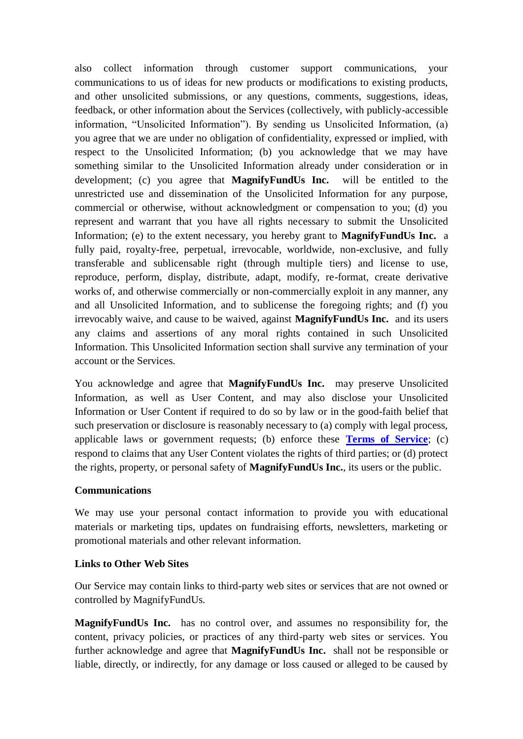also collect information through customer support communications, your communications to us of ideas for new products or modifications to existing products, and other unsolicited submissions, or any questions, comments, suggestions, ideas, feedback, or other information about the Services (collectively, with publicly-accessible information, "Unsolicited Information"). By sending us Unsolicited Information, (a) you agree that we are under no obligation of confidentiality, expressed or implied, with respect to the Unsolicited Information; (b) you acknowledge that we may have something similar to the Unsolicited Information already under consideration or in development; (c) you agree that **MagnifyFundUs Inc.** will be entitled to the unrestricted use and dissemination of the Unsolicited Information for any purpose, commercial or otherwise, without acknowledgment or compensation to you; (d) you represent and warrant that you have all rights necessary to submit the Unsolicited Information; (e) to the extent necessary, you hereby grant to **MagnifyFundUs Inc.** a fully paid, royalty-free, perpetual, irrevocable, worldwide, non-exclusive, and fully transferable and sublicensable right (through multiple tiers) and license to use, reproduce, perform, display, distribute, adapt, modify, re-format, create derivative works of, and otherwise commercially or non-commercially exploit in any manner, any and all Unsolicited Information, and to sublicense the foregoing rights; and (f) you irrevocably waive, and cause to be waived, against **MagnifyFundUs Inc.** and its users any claims and assertions of any moral rights contained in such Unsolicited Information. This Unsolicited Information section shall survive any termination of your account or the Services.

You acknowledge and agree that **MagnifyFundUs Inc.** may preserve Unsolicited Information, as well as User Content, and may also disclose your Unsolicited Information or User Content if required to do so by law or in the good-faith belief that such preservation or disclosure is reasonably necessary to (a) comply with legal process, applicable laws or government requests; (b) enforce these **[Terms of Service](http://magnifyfund.org/terms-of-service/)**; (c) respond to claims that any User Content violates the rights of third parties; or (d) protect the rights, property, or personal safety of **MagnifyFundUs Inc.**, its users or the public.

### **Communications**

We may use your personal contact information to provide you with educational materials or marketing tips, updates on fundraising efforts, newsletters, marketing or promotional materials and other relevant information.

#### **Links to Other Web Sites**

Our Service may contain links to third-party web sites or services that are not owned or controlled by MagnifyFundUs.

**MagnifyFundUs Inc.** has no control over, and assumes no responsibility for, the content, privacy policies, or practices of any third-party web sites or services. You further acknowledge and agree that **MagnifyFundUs Inc.** shall not be responsible or liable, directly, or indirectly, for any damage or loss caused or alleged to be caused by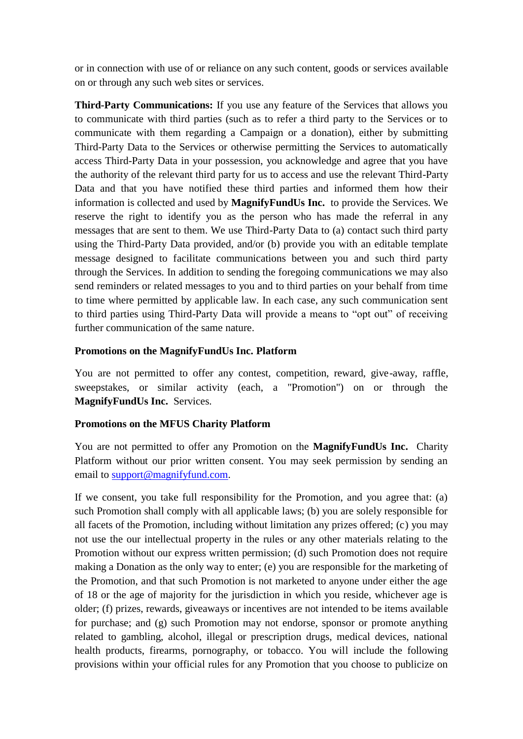or in connection with use of or reliance on any such content, goods or services available on or through any such web sites or services.

**Third-Party Communications:** If you use any feature of the Services that allows you to communicate with third parties (such as to refer a third party to the Services or to communicate with them regarding a Campaign or a donation), either by submitting Third-Party Data to the Services or otherwise permitting the Services to automatically access Third-Party Data in your possession, you acknowledge and agree that you have the authority of the relevant third party for us to access and use the relevant Third-Party Data and that you have notified these third parties and informed them how their information is collected and used by **MagnifyFundUs Inc.** to provide the Services. We reserve the right to identify you as the person who has made the referral in any messages that are sent to them. We use Third-Party Data to (a) contact such third party using the Third-Party Data provided, and/or (b) provide you with an editable template message designed to facilitate communications between you and such third party through the Services. In addition to sending the foregoing communications we may also send reminders or related messages to you and to third parties on your behalf from time to time where permitted by applicable law. In each case, any such communication sent to third parties using Third-Party Data will provide a means to "opt out" of receiving further communication of the same nature.

### **Promotions on the MagnifyFundUs Inc. Platform**

You are not permitted to offer any contest, competition, reward, give-away, raffle, sweepstakes, or similar activity (each, a "Promotion") on or through the **MagnifyFundUs Inc.** Services.

# **Promotions on the MFUS Charity Platform**

You are not permitted to offer any Promotion on the **MagnifyFundUs Inc.** Charity Platform without our prior written consent. You may seek permission by sending an email to [support@magnifyfund.com.](mailto:support@magnifyfund.com)

If we consent, you take full responsibility for the Promotion, and you agree that: (a) such Promotion shall comply with all applicable laws; (b) you are solely responsible for all facets of the Promotion, including without limitation any prizes offered; (c) you may not use the our intellectual property in the rules or any other materials relating to the Promotion without our express written permission; (d) such Promotion does not require making a Donation as the only way to enter; (e) you are responsible for the marketing of the Promotion, and that such Promotion is not marketed to anyone under either the age of 18 or the age of majority for the jurisdiction in which you reside, whichever age is older; (f) prizes, rewards, giveaways or incentives are not intended to be items available for purchase; and (g) such Promotion may not endorse, sponsor or promote anything related to gambling, alcohol, illegal or prescription drugs, medical devices, national health products, firearms, pornography, or tobacco. You will include the following provisions within your official rules for any Promotion that you choose to publicize on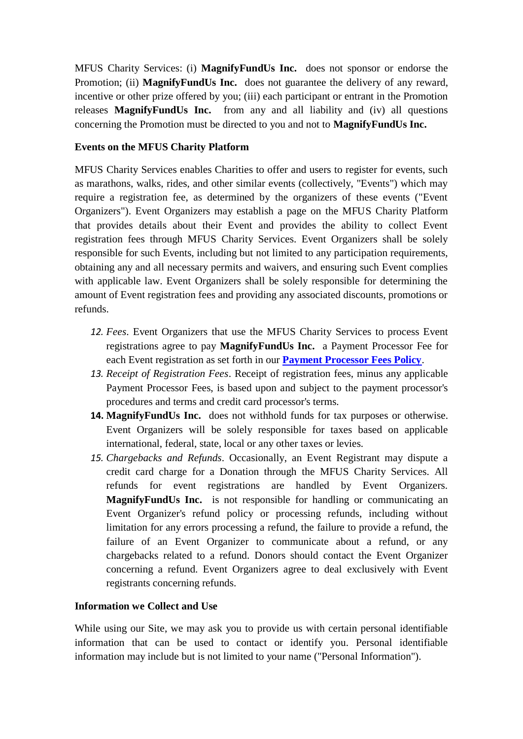MFUS Charity Services: (i) **MagnifyFundUs Inc.** does not sponsor or endorse the Promotion; (ii) **MagnifyFundUs Inc.** does not guarantee the delivery of any reward, incentive or other prize offered by you; (iii) each participant or entrant in the Promotion releases **MagnifyFundUs Inc.** from any and all liability and (iv) all questions concerning the Promotion must be directed to you and not to **MagnifyFundUs Inc.**

# **Events on the MFUS Charity Platform**

MFUS Charity Services enables Charities to offer and users to register for events, such as marathons, walks, rides, and other similar events (collectively, "Events") which may require a registration fee, as determined by the organizers of these events ("Event Organizers"). Event Organizers may establish a page on the MFUS Charity Platform that provides details about their Event and provides the ability to collect Event registration fees through MFUS Charity Services. Event Organizers shall be solely responsible for such Events, including but not limited to any participation requirements, obtaining any and all necessary permits and waivers, and ensuring such Event complies with applicable law. Event Organizers shall be solely responsible for determining the amount of Event registration fees and providing any associated discounts, promotions or refunds.

- *12. Fees*. Event Organizers that use the MFUS Charity Services to process Event registrations agree to pay **MagnifyFundUs Inc.** a Payment Processor Fee for each Event registration as set forth in our **Payment [Processor Fees Policy](http://magnifyfund.org/payment-processor-fees/)**.
- *13. Receipt of Registration Fees*. Receipt of registration fees, minus any applicable Payment Processor Fees, is based upon and subject to the payment processor's procedures and terms and credit card processor's terms.
- **14. MagnifyFundUs Inc.** does not withhold funds for tax purposes or otherwise. Event Organizers will be solely responsible for taxes based on applicable international, federal, state, local or any other taxes or levies.
- *15. Chargebacks and Refunds*. Occasionally, an Event Registrant may dispute a credit card charge for a Donation through the MFUS Charity Services. All refunds for event registrations are handled by Event Organizers. **MagnifyFundUs Inc.** is not responsible for handling or communicating an Event Organizer's refund policy or processing refunds, including without limitation for any errors processing a refund, the failure to provide a refund, the failure of an Event Organizer to communicate about a refund, or any chargebacks related to a refund. Donors should contact the Event Organizer concerning a refund. Event Organizers agree to deal exclusively with Event registrants concerning refunds.

### **Information we Collect and Use**

While using our Site, we may ask you to provide us with certain personal identifiable information that can be used to contact or identify you. Personal identifiable information may include but is not limited to your name ("Personal Information").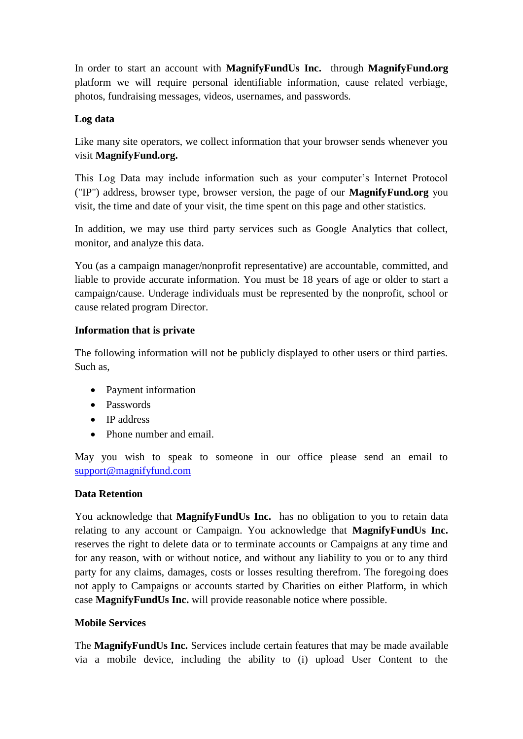In order to start an account with **MagnifyFundUs Inc.** through **MagnifyFund.org**  platform we will require personal identifiable information, cause related verbiage, photos, fundraising messages, videos, usernames, and passwords.

### **Log data**

Like many site operators, we collect information that your browser sends whenever you visit **MagnifyFund.org.**

This Log Data may include information such as your computer's Internet Protocol ("IP") address, browser type, browser version, the page of our **MagnifyFund.org** you visit, the time and date of your visit, the time spent on this page and other statistics.

In addition, we may use third party services such as Google Analytics that collect, monitor, and analyze this data.

You (as a campaign manager/nonprofit representative) are accountable, committed, and liable to provide accurate information. You must be 18 years of age or older to start a campaign/cause. Underage individuals must be represented by the nonprofit, school or cause related program Director.

# **Information that is private**

The following information will not be publicly displayed to other users or third parties. Such as,

- Payment information
- Passwords
- IP address
- Phone number and email.

May you wish to speak to someone in our office please send an email to [support@magnifyfund.com](mailto:support@magnifyfund.com)

### **Data Retention**

You acknowledge that **MagnifyFundUs Inc.** has no obligation to you to retain data relating to any account or Campaign. You acknowledge that **MagnifyFundUs Inc.**  reserves the right to delete data or to terminate accounts or Campaigns at any time and for any reason, with or without notice, and without any liability to you or to any third party for any claims, damages, costs or losses resulting therefrom. The foregoing does not apply to Campaigns or accounts started by Charities on either Platform, in which case **MagnifyFundUs Inc.** will provide reasonable notice where possible.

### **Mobile Services**

The **MagnifyFundUs Inc.** Services include certain features that may be made available via a mobile device, including the ability to (i) upload User Content to the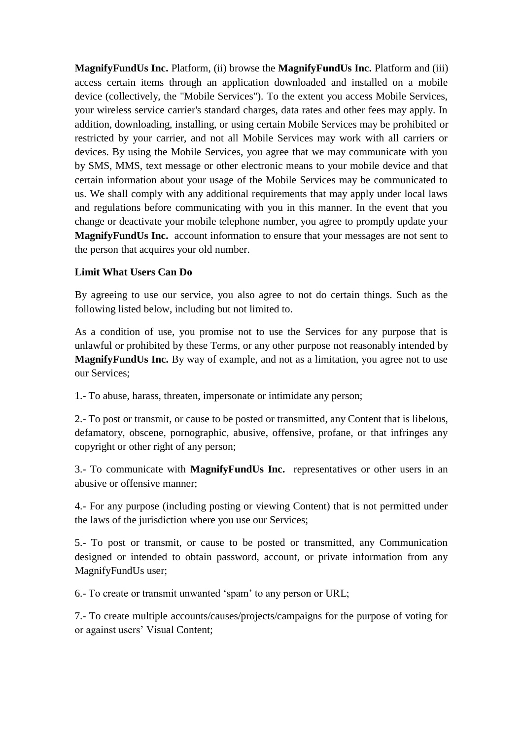**MagnifyFundUs Inc.** Platform, (ii) browse the **MagnifyFundUs Inc.** Platform and (iii) access certain items through an application downloaded and installed on a mobile device (collectively, the "Mobile Services"). To the extent you access Mobile Services, your wireless service carrier's standard charges, data rates and other fees may apply. In addition, downloading, installing, or using certain Mobile Services may be prohibited or restricted by your carrier, and not all Mobile Services may work with all carriers or devices. By using the Mobile Services, you agree that we may communicate with you by SMS, MMS, text message or other electronic means to your mobile device and that certain information about your usage of the Mobile Services may be communicated to us. We shall comply with any additional requirements that may apply under local laws and regulations before communicating with you in this manner. In the event that you change or deactivate your mobile telephone number, you agree to promptly update your **MagnifyFundUs Inc.** account information to ensure that your messages are not sent to the person that acquires your old number.

### **Limit What Users Can Do**

By agreeing to use our service, you also agree to not do certain things. Such as the following listed below, including but not limited to.

As a condition of use, you promise not to use the Services for any purpose that is unlawful or prohibited by these Terms, or any other purpose not reasonably intended by **MagnifyFundUs Inc.** By way of example, and not as a limitation, you agree not to use our Services;

1.- To abuse, harass, threaten, impersonate or intimidate any person;

2.- To post or transmit, or cause to be posted or transmitted, any Content that is libelous, defamatory, obscene, pornographic, abusive, offensive, profane, or that infringes any copyright or other right of any person;

3.- To communicate with **MagnifyFundUs Inc.** representatives or other users in an abusive or offensive manner;

4.- For any purpose (including posting or viewing Content) that is not permitted under the laws of the jurisdiction where you use our Services;

5.- To post or transmit, or cause to be posted or transmitted, any Communication designed or intended to obtain password, account, or private information from any MagnifyFundUs user;

6.- To create or transmit unwanted ‗spam' to any person or URL;

7.- To create multiple accounts/causes/projects/campaigns for the purpose of voting for or against users' Visual Content;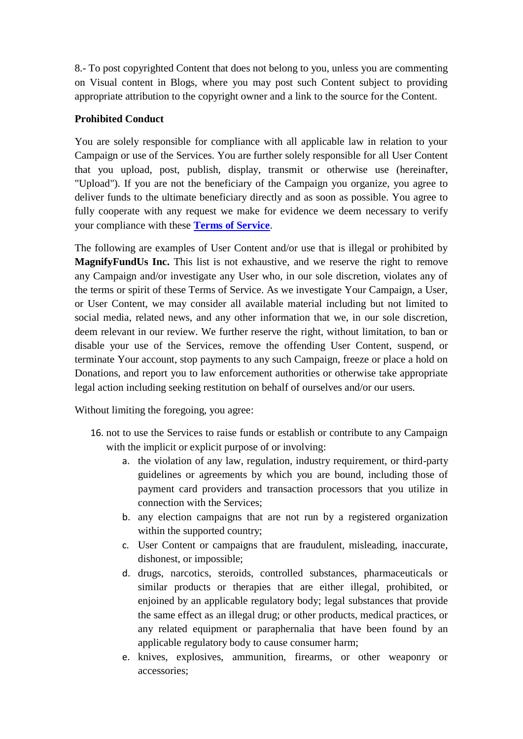8.- To post copyrighted Content that does not belong to you, unless you are commenting on Visual content in Blogs, where you may post such Content subject to providing appropriate attribution to the copyright owner and a link to the source for the Content.

### **Prohibited Conduct**

You are solely responsible for compliance with all applicable law in relation to your Campaign or use of the Services. You are further solely responsible for all User Content that you upload, post, publish, display, transmit or otherwise use (hereinafter, "Upload"). If you are not the beneficiary of the Campaign you organize, you agree to deliver funds to the ultimate beneficiary directly and as soon as possible. You agree to fully cooperate with any request we make for evidence we deem necessary to verify your compliance with these **[Terms of Service](http://magnifyfund.org/terms-of-service/)**.

The following are examples of User Content and/or use that is illegal or prohibited by **MagnifyFundUs Inc.** This list is not exhaustive, and we reserve the right to remove any Campaign and/or investigate any User who, in our sole discretion, violates any of the terms or spirit of these Terms of Service. As we investigate Your Campaign, a User, or User Content, we may consider all available material including but not limited to social media, related news, and any other information that we, in our sole discretion, deem relevant in our review. We further reserve the right, without limitation, to ban or disable your use of the Services, remove the offending User Content, suspend, or terminate Your account, stop payments to any such Campaign, freeze or place a hold on Donations, and report you to law enforcement authorities or otherwise take appropriate legal action including seeking restitution on behalf of ourselves and/or our users.

Without limiting the foregoing, you agree:

- 16. not to use the Services to raise funds or establish or contribute to any Campaign with the implicit or explicit purpose of or involving:
	- a. the violation of any law, regulation, industry requirement, or third-party guidelines or agreements by which you are bound, including those of payment card providers and transaction processors that you utilize in connection with the Services;
	- b. any election campaigns that are not run by a registered organization within the supported country;
	- c. User Content or campaigns that are fraudulent, misleading, inaccurate, dishonest, or impossible;
	- d. drugs, narcotics, steroids, controlled substances, pharmaceuticals or similar products or therapies that are either illegal, prohibited, or enjoined by an applicable regulatory body; legal substances that provide the same effect as an illegal drug; or other products, medical practices, or any related equipment or paraphernalia that have been found by an applicable regulatory body to cause consumer harm;
	- e. knives, explosives, ammunition, firearms, or other weaponry or accessories;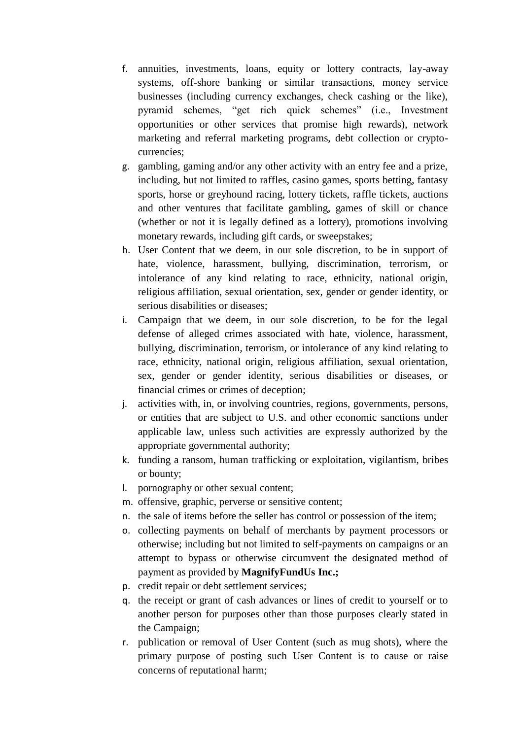- f. annuities, investments, loans, equity or lottery contracts, lay-away systems, off-shore banking or similar transactions, money service businesses (including currency exchanges, check cashing or the like), pyramid schemes, "get rich quick schemes" (i.e., Investment opportunities or other services that promise high rewards), network marketing and referral marketing programs, debt collection or cryptocurrencies;
- g. gambling, gaming and/or any other activity with an entry fee and a prize, including, but not limited to raffles, casino games, sports betting, fantasy sports, horse or greyhound racing, lottery tickets, raffle tickets, auctions and other ventures that facilitate gambling, games of skill or chance (whether or not it is legally defined as a lottery), promotions involving monetary rewards, including gift cards, or sweepstakes;
- h. User Content that we deem, in our sole discretion, to be in support of hate, violence, harassment, bullying, discrimination, terrorism, or intolerance of any kind relating to race, ethnicity, national origin, religious affiliation, sexual orientation, sex, gender or gender identity, or serious disabilities or diseases;
- i. Campaign that we deem, in our sole discretion, to be for the legal defense of alleged crimes associated with hate, violence, harassment, bullying, discrimination, terrorism, or intolerance of any kind relating to race, ethnicity, national origin, religious affiliation, sexual orientation, sex, gender or gender identity, serious disabilities or diseases, or financial crimes or crimes of deception;
- j. activities with, in, or involving countries, regions, governments, persons, or entities that are subject to U.S. and other economic sanctions under applicable law, unless such activities are expressly authorized by the appropriate governmental authority;
- k. funding a ransom, human trafficking or exploitation, vigilantism, bribes or bounty;
- l. pornography or other sexual content;
- m. offensive, graphic, perverse or sensitive content;
- n. the sale of items before the seller has control or possession of the item;
- o. collecting payments on behalf of merchants by payment processors or otherwise; including but not limited to self-payments on campaigns or an attempt to bypass or otherwise circumvent the designated method of payment as provided by **MagnifyFundUs Inc.;**
- p. credit repair or debt settlement services;
- q. the receipt or grant of cash advances or lines of credit to yourself or to another person for purposes other than those purposes clearly stated in the Campaign;
- r. publication or removal of User Content (such as mug shots), where the primary purpose of posting such User Content is to cause or raise concerns of reputational harm;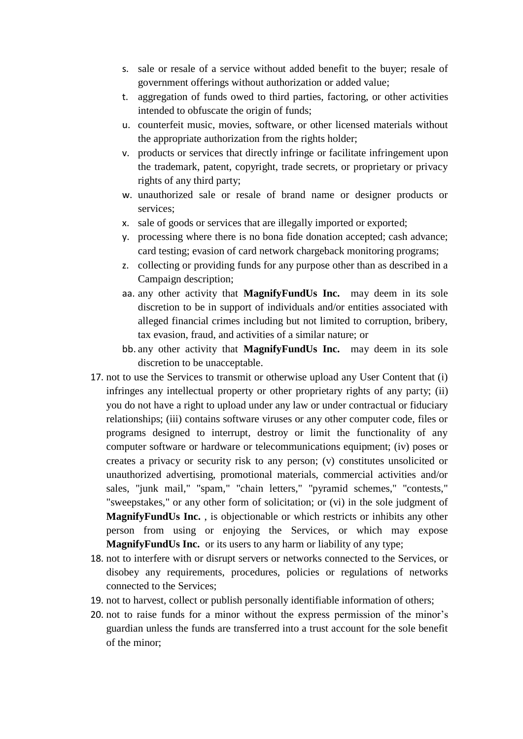- s. sale or resale of a service without added benefit to the buyer; resale of government offerings without authorization or added value;
- t. aggregation of funds owed to third parties, factoring, or other activities intended to obfuscate the origin of funds;
- u. counterfeit music, movies, software, or other licensed materials without the appropriate authorization from the rights holder;
- v. products or services that directly infringe or facilitate infringement upon the trademark, patent, copyright, trade secrets, or proprietary or privacy rights of any third party;
- w. unauthorized sale or resale of brand name or designer products or services;
- x. sale of goods or services that are illegally imported or exported;
- y. processing where there is no bona fide donation accepted; cash advance; card testing; evasion of card network chargeback monitoring programs;
- z. collecting or providing funds for any purpose other than as described in a Campaign description;
- aa. any other activity that **MagnifyFundUs Inc.** may deem in its sole discretion to be in support of individuals and/or entities associated with alleged financial crimes including but not limited to corruption, bribery, tax evasion, fraud, and activities of a similar nature; or
- bb. any other activity that **MagnifyFundUs Inc.** may deem in its sole discretion to be unacceptable.
- 17. not to use the Services to transmit or otherwise upload any User Content that (i) infringes any intellectual property or other proprietary rights of any party; (ii) you do not have a right to upload under any law or under contractual or fiduciary relationships; (iii) contains software viruses or any other computer code, files or programs designed to interrupt, destroy or limit the functionality of any computer software or hardware or telecommunications equipment; (iv) poses or creates a privacy or security risk to any person; (v) constitutes unsolicited or unauthorized advertising, promotional materials, commercial activities and/or sales, "junk mail," "spam," "chain letters," "pyramid schemes," "contests," "sweepstakes," or any other form of solicitation; or (vi) in the sole judgment of **MagnifyFundUs Inc.** , is objectionable or which restricts or inhibits any other person from using or enjoying the Services, or which may expose **MagnifyFundUs Inc.** or its users to any harm or liability of any type;
- 18. not to interfere with or disrupt servers or networks connected to the Services, or disobey any requirements, procedures, policies or regulations of networks connected to the Services;
- 19. not to harvest, collect or publish personally identifiable information of others;
- 20. not to raise funds for a minor without the express permission of the minor's guardian unless the funds are transferred into a trust account for the sole benefit of the minor;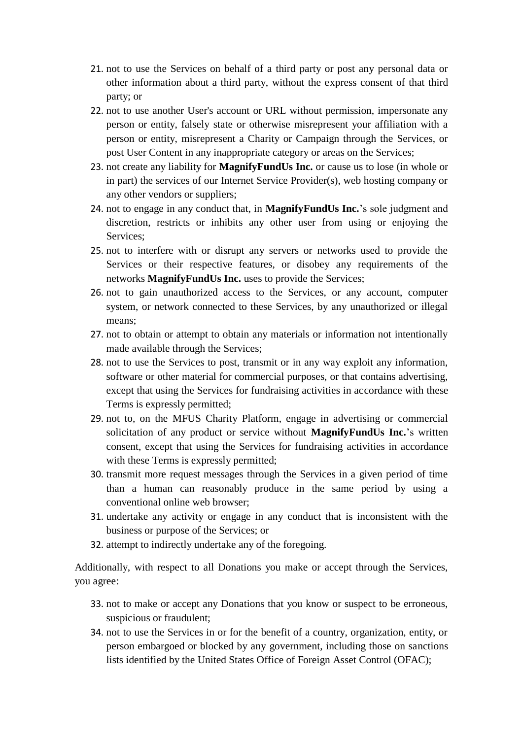- 21. not to use the Services on behalf of a third party or post any personal data or other information about a third party, without the express consent of that third party; or
- 22. not to use another User's account or URL without permission, impersonate any person or entity, falsely state or otherwise misrepresent your affiliation with a person or entity, misrepresent a Charity or Campaign through the Services, or post User Content in any inappropriate category or areas on the Services;
- 23. not create any liability for **MagnifyFundUs Inc.** or cause us to lose (in whole or in part) the services of our Internet Service Provider(s), web hosting company or any other vendors or suppliers;
- 24. not to engage in any conduct that, in **MagnifyFundUs Inc.**'s sole judgment and discretion, restricts or inhibits any other user from using or enjoying the Services;
- 25. not to interfere with or disrupt any servers or networks used to provide the Services or their respective features, or disobey any requirements of the networks **MagnifyFundUs Inc.** uses to provide the Services;
- 26. not to gain unauthorized access to the Services, or any account, computer system, or network connected to these Services, by any unauthorized or illegal means;
- 27. not to obtain or attempt to obtain any materials or information not intentionally made available through the Services;
- 28. not to use the Services to post, transmit or in any way exploit any information, software or other material for commercial purposes, or that contains advertising, except that using the Services for fundraising activities in accordance with these Terms is expressly permitted;
- 29. not to, on the MFUS Charity Platform, engage in advertising or commercial solicitation of any product or service without **MagnifyFundUs Inc.**'s written consent, except that using the Services for fundraising activities in accordance with these Terms is expressly permitted;
- 30. transmit more request messages through the Services in a given period of time than a human can reasonably produce in the same period by using a conventional online web browser;
- 31. undertake any activity or engage in any conduct that is inconsistent with the business or purpose of the Services; or
- 32. attempt to indirectly undertake any of the foregoing.

Additionally, with respect to all Donations you make or accept through the Services, you agree:

- 33. not to make or accept any Donations that you know or suspect to be erroneous, suspicious or fraudulent;
- 34. not to use the Services in or for the benefit of a country, organization, entity, or person embargoed or blocked by any government, including those on sanctions lists identified by the United States Office of Foreign Asset Control (OFAC);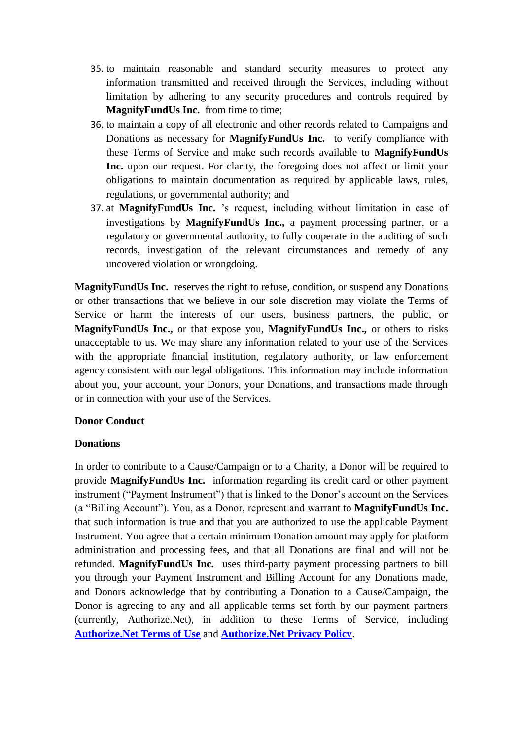- 35. to maintain reasonable and standard security measures to protect any information transmitted and received through the Services, including without limitation by adhering to any security procedures and controls required by **MagnifyFundUs Inc.** from time to time;
- 36. to maintain a copy of all electronic and other records related to Campaigns and Donations as necessary for **MagnifyFundUs Inc.** to verify compliance with these Terms of Service and make such records available to **MagnifyFundUs Inc.** upon our request. For clarity, the foregoing does not affect or limit your obligations to maintain documentation as required by applicable laws, rules, regulations, or governmental authority; and
- 37. at **MagnifyFundUs Inc.** 's request, including without limitation in case of investigations by **MagnifyFundUs Inc.,** a payment processing partner, or a regulatory or governmental authority, to fully cooperate in the auditing of such records, investigation of the relevant circumstances and remedy of any uncovered violation or wrongdoing.

**MagnifyFundUs Inc.** reserves the right to refuse, condition, or suspend any Donations or other transactions that we believe in our sole discretion may violate the Terms of Service or harm the interests of our users, business partners, the public, or **MagnifyFundUs Inc.,** or that expose you, **MagnifyFundUs Inc.,** or others to risks unacceptable to us. We may share any information related to your use of the Services with the appropriate financial institution, regulatory authority, or law enforcement agency consistent with our legal obligations. This information may include information about you, your account, your Donors, your Donations, and transactions made through or in connection with your use of the Services.

### **Donor Conduct**

#### **Donations**

In order to contribute to a Cause/Campaign or to a Charity, a Donor will be required to provide **MagnifyFundUs Inc.** information regarding its credit card or other payment instrument ("Payment Instrument") that is linked to the Donor's account on the Services (a "Billing Account"). You, as a Donor, represent and warrant to **MagnifyFundUs Inc.** that such information is true and that you are authorized to use the applicable Payment Instrument. You agree that a certain minimum Donation amount may apply for platform administration and processing fees, and that all Donations are final and will not be refunded. **MagnifyFundUs Inc.** uses third-party payment processing partners to bill you through your Payment Instrument and Billing Account for any Donations made, and Donors acknowledge that by contributing a Donation to a Cause/Campaign, the Donor is agreeing to any and all applicable terms set forth by our payment partners (currently, Authorize.Net), in addition to these Terms of Service, including **[Authorize.Net Terms of Use](https://www.authorize.net/about-us/terms/)** and **[Authorize.Net Privacy Policy](https://usa.visa.com/legal/privacy-policy.html)**.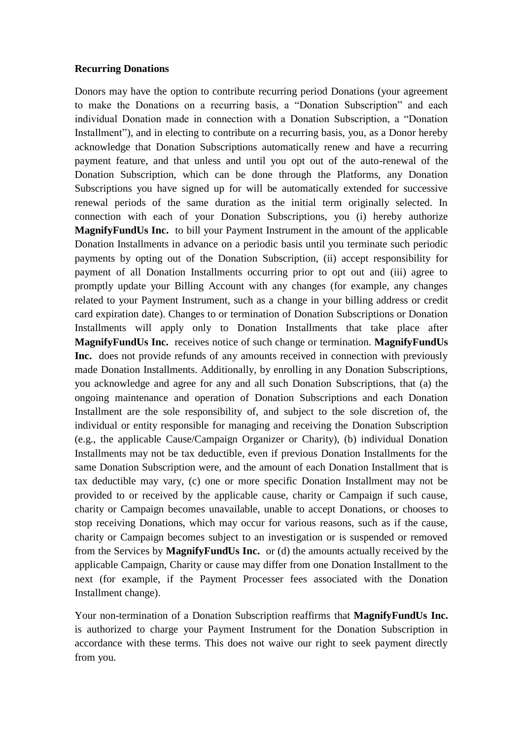#### **Recurring Donations**

Donors may have the option to contribute recurring period Donations (your agreement to make the Donations on a recurring basis, a "Donation Subscription" and each individual Donation made in connection with a Donation Subscription, a "Donation Installment"), and in electing to contribute on a recurring basis, you, as a Donor hereby acknowledge that Donation Subscriptions automatically renew and have a recurring payment feature, and that unless and until you opt out of the auto-renewal of the Donation Subscription, which can be done through the Platforms, any Donation Subscriptions you have signed up for will be automatically extended for successive renewal periods of the same duration as the initial term originally selected. In connection with each of your Donation Subscriptions, you (i) hereby authorize **MagnifyFundUs Inc.** to bill your Payment Instrument in the amount of the applicable Donation Installments in advance on a periodic basis until you terminate such periodic payments by opting out of the Donation Subscription, (ii) accept responsibility for payment of all Donation Installments occurring prior to opt out and (iii) agree to promptly update your Billing Account with any changes (for example, any changes related to your Payment Instrument, such as a change in your billing address or credit card expiration date). Changes to or termination of Donation Subscriptions or Donation Installments will apply only to Donation Installments that take place after **MagnifyFundUs Inc.** receives notice of such change or termination. **MagnifyFundUs Inc.** does not provide refunds of any amounts received in connection with previously made Donation Installments. Additionally, by enrolling in any Donation Subscriptions, you acknowledge and agree for any and all such Donation Subscriptions, that (a) the ongoing maintenance and operation of Donation Subscriptions and each Donation Installment are the sole responsibility of, and subject to the sole discretion of, the individual or entity responsible for managing and receiving the Donation Subscription (e.g., the applicable Cause/Campaign Organizer or Charity), (b) individual Donation Installments may not be tax deductible, even if previous Donation Installments for the same Donation Subscription were, and the amount of each Donation Installment that is tax deductible may vary, (c) one or more specific Donation Installment may not be provided to or received by the applicable cause, charity or Campaign if such cause, charity or Campaign becomes unavailable, unable to accept Donations, or chooses to stop receiving Donations, which may occur for various reasons, such as if the cause, charity or Campaign becomes subject to an investigation or is suspended or removed from the Services by **MagnifyFundUs Inc.** or (d) the amounts actually received by the applicable Campaign, Charity or cause may differ from one Donation Installment to the next (for example, if the Payment Processer fees associated with the Donation Installment change).

Your non-termination of a Donation Subscription reaffirms that **MagnifyFundUs Inc.** is authorized to charge your Payment Instrument for the Donation Subscription in accordance with these terms. This does not waive our right to seek payment directly from you.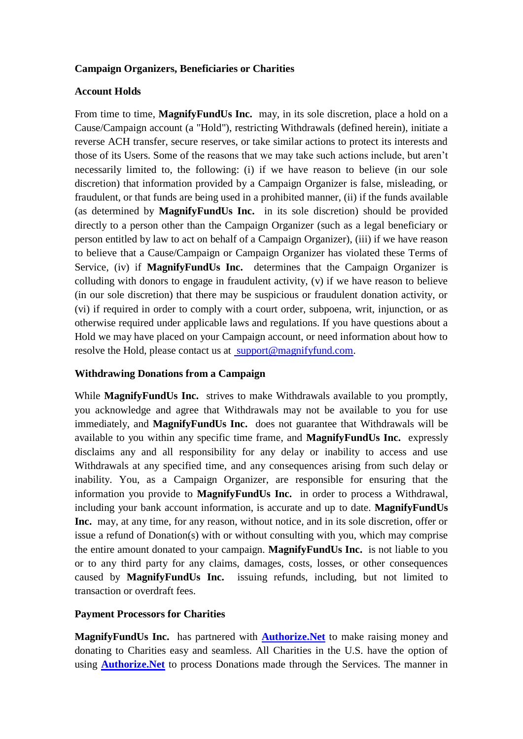### **Campaign Organizers, Beneficiaries or Charities**

#### **Account Holds**

From time to time, **MagnifyFundUs Inc.** may, in its sole discretion, place a hold on a Cause/Campaign account (a "Hold"), restricting Withdrawals (defined herein), initiate a reverse ACH transfer, secure reserves, or take similar actions to protect its interests and those of its Users. Some of the reasons that we may take such actions include, but aren't necessarily limited to, the following: (i) if we have reason to believe (in our sole discretion) that information provided by a Campaign Organizer is false, misleading, or fraudulent, or that funds are being used in a prohibited manner, (ii) if the funds available (as determined by **MagnifyFundUs Inc.** in its sole discretion) should be provided directly to a person other than the Campaign Organizer (such as a legal beneficiary or person entitled by law to act on behalf of a Campaign Organizer), (iii) if we have reason to believe that a Cause/Campaign or Campaign Organizer has violated these Terms of Service, (iv) if **MagnifyFundUs Inc.** determines that the Campaign Organizer is colluding with donors to engage in fraudulent activity, (v) if we have reason to believe (in our sole discretion) that there may be suspicious or fraudulent donation activity, or (vi) if required in order to comply with a court order, subpoena, writ, injunction, or as otherwise required under applicable laws and regulations. If you have questions about a Hold we may have placed on your Campaign account, or need information about how to resolve the Hold, please contact us at [support@magnifyfund.com.](mailto:support@magnifyfund.com)

#### **Withdrawing Donations from a Campaign**

While **MagnifyFundUs Inc.** strives to make Withdrawals available to you promptly, you acknowledge and agree that Withdrawals may not be available to you for use immediately, and **MagnifyFundUs Inc.** does not guarantee that Withdrawals will be available to you within any specific time frame, and **MagnifyFundUs Inc.** expressly disclaims any and all responsibility for any delay or inability to access and use Withdrawals at any specified time, and any consequences arising from such delay or inability. You, as a Campaign Organizer, are responsible for ensuring that the information you provide to **MagnifyFundUs Inc.** in order to process a Withdrawal, including your bank account information, is accurate and up to date. **MagnifyFundUs Inc.** may, at any time, for any reason, without notice, and in its sole discretion, offer or issue a refund of Donation(s) with or without consulting with you, which may comprise the entire amount donated to your campaign. **MagnifyFundUs Inc.** is not liable to you or to any third party for any claims, damages, costs, losses, or other consequences caused by **MagnifyFundUs Inc.** issuing refunds, including, but not limited to transaction or overdraft fees.

#### **Payment Processors for Charities**

**MagnifyFundUs Inc.** has partnered with **[Authorize.Net](https://www.authorize.net/)** to make raising money and donating to Charities easy and seamless. All Charities in the U.S. have the option of using **[Authorize.Net](https://www.authorize.net/)** to process Donations made through the Services. The manner in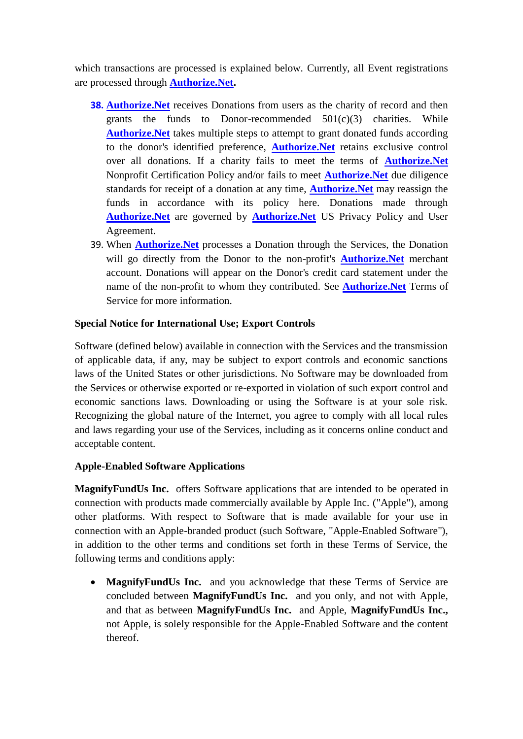which transactions are processed is explained below. Currently, all Event registrations are processed through **[Authorize.Net.](https://www.authorize.net/)**

- **38. Authorize. Net** receives Donations from users as the charity of record and then grants the funds to Donor-recommended  $501(c)(3)$  charities. While **[Authorize.Net](https://www.authorize.net/)** takes multiple steps to attempt to grant donated funds according to the donor's identified preference, **[Authorize.Net](https://www.authorize.net/)** retains exclusive control over all donations. If a charity fails to meet the terms of **[Authorize.Net](https://www.authorize.net/)** Nonprofit Certification Policy and/or fails to meet **[Authorize.Net](https://www.authorize.net/)** due diligence standards for receipt of a donation at any time, **[Authorize.Net](https://www.authorize.net/)** may reassign the funds in accordance with its policy here. Donations made through **[Authorize.Net](https://www.authorize.net/)** are governed by **[Authorize.Net](https://www.authorize.net/)** US Privacy Policy and User Agreement.
- 39. When **[Authorize.Net](https://www.authorize.net/)** processes a Donation through the Services, the Donation will go directly from the Donor to the non-profit's **[Authorize.Net](https://www.authorize.net/)** merchant account. Donations will appear on the Donor's credit card statement under the name of the non-profit to whom they contributed. See **[Authorize.Net](https://www.authorize.net/)** Terms of Service for more information.

# **Special Notice for International Use; Export Controls**

Software (defined below) available in connection with the Services and the transmission of applicable data, if any, may be subject to export controls and economic sanctions laws of the United States or other jurisdictions. No Software may be downloaded from the Services or otherwise exported or re-exported in violation of such export control and economic sanctions laws. Downloading or using the Software is at your sole risk. Recognizing the global nature of the Internet, you agree to comply with all local rules and laws regarding your use of the Services, including as it concerns online conduct and acceptable content.

# **Apple-Enabled Software Applications**

**MagnifyFundUs Inc.** offers Software applications that are intended to be operated in connection with products made commercially available by Apple Inc. ("Apple"), among other platforms. With respect to Software that is made available for your use in connection with an Apple-branded product (such Software, "Apple-Enabled Software"), in addition to the other terms and conditions set forth in these Terms of Service, the following terms and conditions apply:

 **MagnifyFundUs Inc.** and you acknowledge that these Terms of Service are concluded between **MagnifyFundUs Inc.** and you only, and not with Apple, and that as between **MagnifyFundUs Inc.** and Apple, **MagnifyFundUs Inc.,** not Apple, is solely responsible for the Apple-Enabled Software and the content thereof.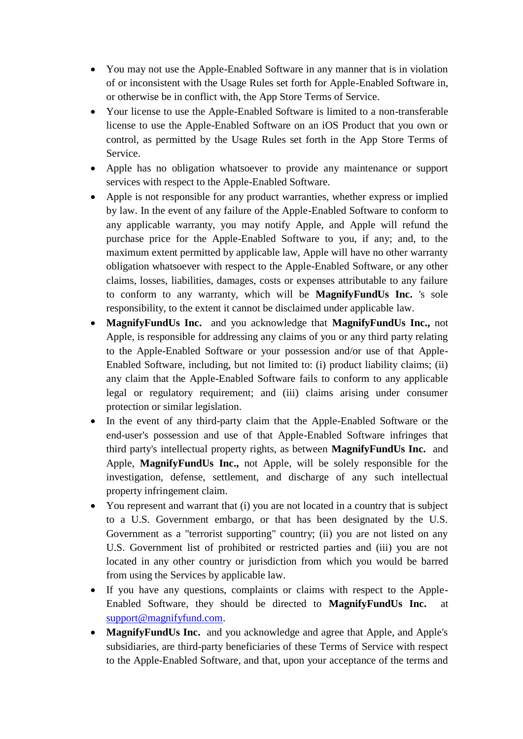- You may not use the Apple-Enabled Software in any manner that is in violation of or inconsistent with the Usage Rules set forth for Apple-Enabled Software in, or otherwise be in conflict with, the App Store Terms of Service.
- Your license to use the Apple-Enabled Software is limited to a non-transferable license to use the Apple-Enabled Software on an iOS Product that you own or control, as permitted by the Usage Rules set forth in the App Store Terms of Service.
- Apple has no obligation whatsoever to provide any maintenance or support services with respect to the Apple-Enabled Software.
- Apple is not responsible for any product warranties, whether express or implied by law. In the event of any failure of the Apple-Enabled Software to conform to any applicable warranty, you may notify Apple, and Apple will refund the purchase price for the Apple-Enabled Software to you, if any; and, to the maximum extent permitted by applicable law, Apple will have no other warranty obligation whatsoever with respect to the Apple-Enabled Software, or any other claims, losses, liabilities, damages, costs or expenses attributable to any failure to conform to any warranty, which will be **MagnifyFundUs Inc.** 's sole responsibility, to the extent it cannot be disclaimed under applicable law.
- **MagnifyFundUs Inc.** and you acknowledge that **MagnifyFundUs Inc.,** not Apple, is responsible for addressing any claims of you or any third party relating to the Apple-Enabled Software or your possession and/or use of that Apple-Enabled Software, including, but not limited to: (i) product liability claims; (ii) any claim that the Apple-Enabled Software fails to conform to any applicable legal or regulatory requirement; and (iii) claims arising under consumer protection or similar legislation.
- In the event of any third-party claim that the Apple-Enabled Software or the end-user's possession and use of that Apple-Enabled Software infringes that third party's intellectual property rights, as between **MagnifyFundUs Inc.** and Apple, **MagnifyFundUs Inc.,** not Apple, will be solely responsible for the investigation, defense, settlement, and discharge of any such intellectual property infringement claim.
- You represent and warrant that (i) you are not located in a country that is subject to a U.S. Government embargo, or that has been designated by the U.S. Government as a "terrorist supporting" country; (ii) you are not listed on any U.S. Government list of prohibited or restricted parties and (iii) you are not located in any other country or jurisdiction from which you would be barred from using the Services by applicable law.
- If you have any questions, complaints or claims with respect to the Apple-Enabled Software, they should be directed to **MagnifyFundUs Inc.** at [support@magnifyfund.com.](mailto:support@magnifyfund.com)
- **MagnifyFundUs Inc.** and you acknowledge and agree that Apple, and Apple's subsidiaries, are third-party beneficiaries of these Terms of Service with respect to the Apple-Enabled Software, and that, upon your acceptance of the terms and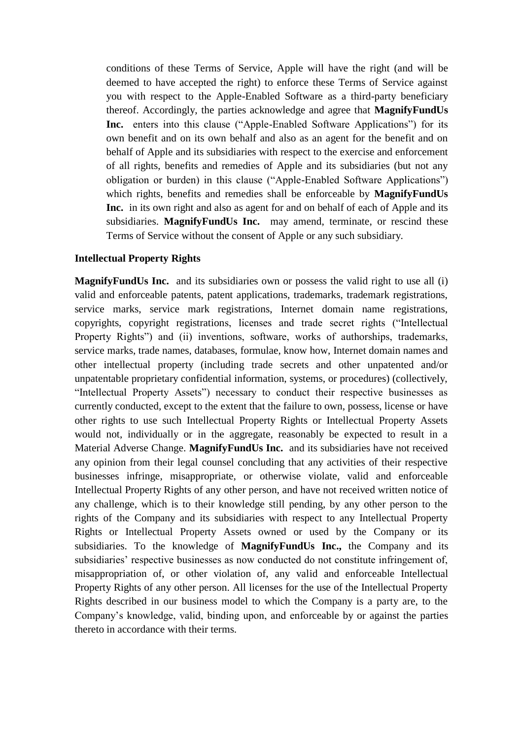conditions of these Terms of Service, Apple will have the right (and will be deemed to have accepted the right) to enforce these Terms of Service against you with respect to the Apple-Enabled Software as a third-party beneficiary thereof. Accordingly, the parties acknowledge and agree that **MagnifyFundUs Inc.** enters into this clause ("Apple-Enabled Software Applications") for its own benefit and on its own behalf and also as an agent for the benefit and on behalf of Apple and its subsidiaries with respect to the exercise and enforcement of all rights, benefits and remedies of Apple and its subsidiaries (but not any obligation or burden) in this clause ("Apple-Enabled Software Applications") which rights, benefits and remedies shall be enforceable by **MagnifyFundUs Inc.** in its own right and also as agent for and on behalf of each of Apple and its subsidiaries. **MagnifyFundUs Inc.** may amend, terminate, or rescind these Terms of Service without the consent of Apple or any such subsidiary.

#### **Intellectual Property Rights**

**MagnifyFundUs Inc.** and its subsidiaries own or possess the valid right to use all (i) valid and enforceable patents, patent applications, trademarks, trademark registrations, service marks, service mark registrations, Internet domain name registrations, copyrights, copyright registrations, licenses and trade secret rights ("Intellectual Property Rights<sup>"</sup>) and (ii) inventions, software, works of authorships, trademarks, service marks, trade names, databases, formulae, know how, Internet domain names and other intellectual property (including trade secrets and other unpatented and/or unpatentable proprietary confidential information, systems, or procedures) (collectively, "Intellectual Property Assets") necessary to conduct their respective businesses as currently conducted, except to the extent that the failure to own, possess, license or have other rights to use such Intellectual Property Rights or Intellectual Property Assets would not, individually or in the aggregate, reasonably be expected to result in a Material Adverse Change. **MagnifyFundUs Inc.** and its subsidiaries have not received any opinion from their legal counsel concluding that any activities of their respective businesses infringe, misappropriate, or otherwise violate, valid and enforceable Intellectual Property Rights of any other person, and have not received written notice of any challenge, which is to their knowledge still pending, by any other person to the rights of the Company and its subsidiaries with respect to any Intellectual Property Rights or Intellectual Property Assets owned or used by the Company or its subsidiaries. To the knowledge of **MagnifyFundUs Inc.,** the Company and its subsidiaries' respective businesses as now conducted do not constitute infringement of, misappropriation of, or other violation of, any valid and enforceable Intellectual Property Rights of any other person. All licenses for the use of the Intellectual Property Rights described in our business model to which the Company is a party are, to the Company's knowledge, valid, binding upon, and enforceable by or against the parties thereto in accordance with their terms.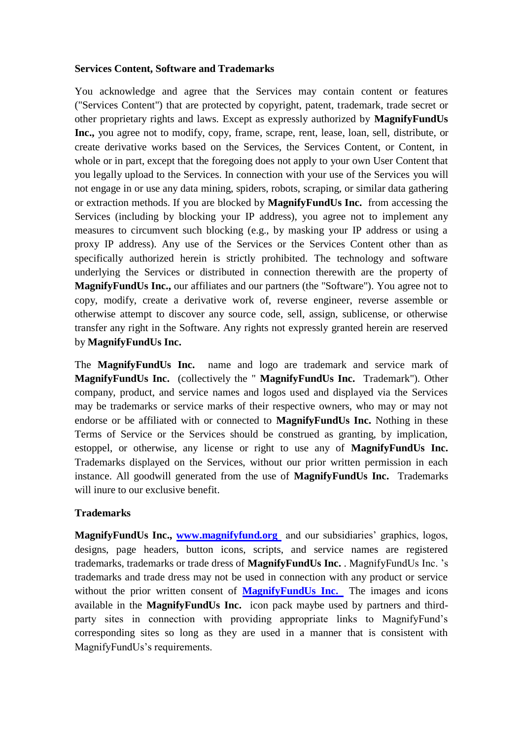#### **Services Content, Software and Trademarks**

You acknowledge and agree that the Services may contain content or features ("Services Content") that are protected by copyright, patent, trademark, trade secret or other proprietary rights and laws. Except as expressly authorized by **MagnifyFundUs Inc.,** you agree not to modify, copy, frame, scrape, rent, lease, loan, sell, distribute, or create derivative works based on the Services, the Services Content, or Content, in whole or in part, except that the foregoing does not apply to your own User Content that you legally upload to the Services. In connection with your use of the Services you will not engage in or use any data mining, spiders, robots, scraping, or similar data gathering or extraction methods. If you are blocked by **MagnifyFundUs Inc.** from accessing the Services (including by blocking your IP address), you agree not to implement any measures to circumvent such blocking (e.g., by masking your IP address or using a proxy IP address). Any use of the Services or the Services Content other than as specifically authorized herein is strictly prohibited. The technology and software underlying the Services or distributed in connection therewith are the property of **MagnifyFundUs Inc.,** our affiliates and our partners (the "Software"). You agree not to copy, modify, create a derivative work of, reverse engineer, reverse assemble or otherwise attempt to discover any source code, sell, assign, sublicense, or otherwise transfer any right in the Software. Any rights not expressly granted herein are reserved by **MagnifyFundUs Inc.**

The **MagnifyFundUs Inc.** name and logo are trademark and service mark of **MagnifyFundUs Inc.** (collectively the " **MagnifyFundUs Inc.** Trademark"). Other company, product, and service names and logos used and displayed via the Services may be trademarks or service marks of their respective owners, who may or may not endorse or be affiliated with or connected to **MagnifyFundUs Inc.** Nothing in these Terms of Service or the Services should be construed as granting, by implication, estoppel, or otherwise, any license or right to use any of **MagnifyFundUs Inc.**  Trademarks displayed on the Services, without our prior written permission in each instance. All goodwill generated from the use of **MagnifyFundUs Inc.** Trademarks will inure to our exclusive benefit.

### **Trademarks**

**MagnifyFundUs Inc., [www.magnifyfund.org](http://www.magnifyfund.org/)** and our subsidiaries' graphics, logos, designs, page headers, button icons, scripts, and service names are registered trademarks, trademarks or trade dress of **MagnifyFundUs Inc.** . MagnifyFundUs Inc. 's trademarks and trade dress may not be used in connection with any product or service without the prior written consent of **[MagnifyFundUs Inc.](http://www.magnifyfund.org/)** The images and icons available in the **MagnifyFundUs Inc.** icon pack maybe used by partners and thirdparty sites in connection with providing appropriate links to MagnifyFund's corresponding sites so long as they are used in a manner that is consistent with MagnifyFundUs's requirements.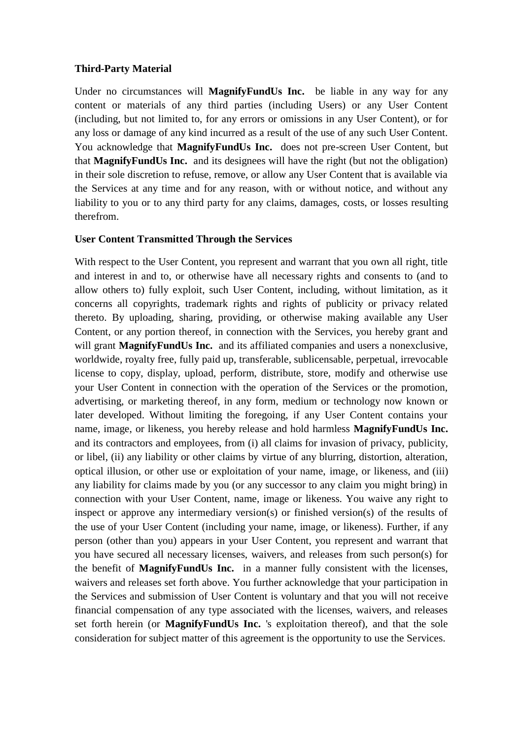#### **Third-Party Material**

Under no circumstances will **MagnifyFundUs Inc.** be liable in any way for any content or materials of any third parties (including Users) or any User Content (including, but not limited to, for any errors or omissions in any User Content), or for any loss or damage of any kind incurred as a result of the use of any such User Content. You acknowledge that **MagnifyFundUs Inc.** does not pre-screen User Content, but that **MagnifyFundUs Inc.** and its designees will have the right (but not the obligation) in their sole discretion to refuse, remove, or allow any User Content that is available via the Services at any time and for any reason, with or without notice, and without any liability to you or to any third party for any claims, damages, costs, or losses resulting therefrom.

#### **User Content Transmitted Through the Services**

With respect to the User Content, you represent and warrant that you own all right, title and interest in and to, or otherwise have all necessary rights and consents to (and to allow others to) fully exploit, such User Content, including, without limitation, as it concerns all copyrights, trademark rights and rights of publicity or privacy related thereto. By uploading, sharing, providing, or otherwise making available any User Content, or any portion thereof, in connection with the Services, you hereby grant and will grant **MagnifyFundUs Inc.** and its affiliated companies and users a nonexclusive, worldwide, royalty free, fully paid up, transferable, sublicensable, perpetual, irrevocable license to copy, display, upload, perform, distribute, store, modify and otherwise use your User Content in connection with the operation of the Services or the promotion, advertising, or marketing thereof, in any form, medium or technology now known or later developed. Without limiting the foregoing, if any User Content contains your name, image, or likeness, you hereby release and hold harmless **MagnifyFundUs Inc.**  and its contractors and employees, from (i) all claims for invasion of privacy, publicity, or libel, (ii) any liability or other claims by virtue of any blurring, distortion, alteration, optical illusion, or other use or exploitation of your name, image, or likeness, and (iii) any liability for claims made by you (or any successor to any claim you might bring) in connection with your User Content, name, image or likeness. You waive any right to inspect or approve any intermediary version(s) or finished version(s) of the results of the use of your User Content (including your name, image, or likeness). Further, if any person (other than you) appears in your User Content, you represent and warrant that you have secured all necessary licenses, waivers, and releases from such person(s) for the benefit of **MagnifyFundUs Inc.** in a manner fully consistent with the licenses, waivers and releases set forth above. You further acknowledge that your participation in the Services and submission of User Content is voluntary and that you will not receive financial compensation of any type associated with the licenses, waivers, and releases set forth herein (or **MagnifyFundUs Inc.** 's exploitation thereof), and that the sole consideration for subject matter of this agreement is the opportunity to use the Services.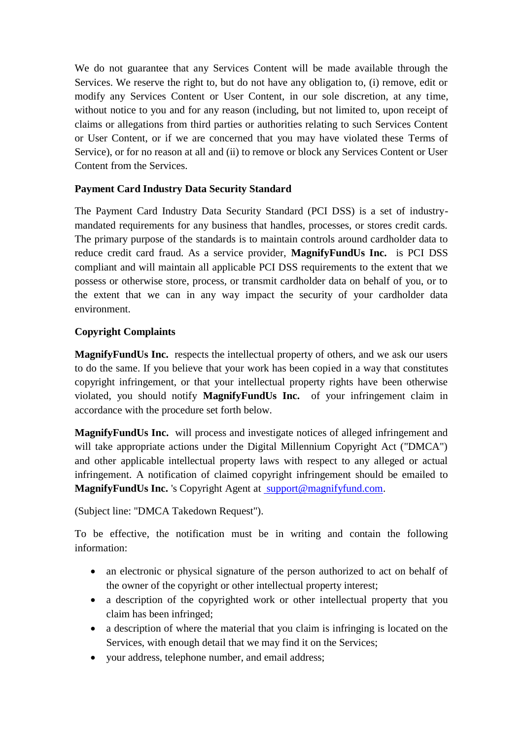We do not guarantee that any Services Content will be made available through the Services. We reserve the right to, but do not have any obligation to, (i) remove, edit or modify any Services Content or User Content, in our sole discretion, at any time, without notice to you and for any reason (including, but not limited to, upon receipt of claims or allegations from third parties or authorities relating to such Services Content or User Content, or if we are concerned that you may have violated these Terms of Service), or for no reason at all and (ii) to remove or block any Services Content or User Content from the Services.

# **Payment Card Industry Data Security Standard**

The Payment Card Industry Data Security Standard (PCI DSS) is a set of industrymandated requirements for any business that handles, processes, or stores credit cards. The primary purpose of the standards is to maintain controls around cardholder data to reduce credit card fraud. As a service provider, **MagnifyFundUs Inc.** is PCI DSS compliant and will maintain all applicable PCI DSS requirements to the extent that we possess or otherwise store, process, or transmit cardholder data on behalf of you, or to the extent that we can in any way impact the security of your cardholder data environment.

### **Copyright Complaints**

**MagnifyFundUs Inc.** respects the intellectual property of others, and we ask our users to do the same. If you believe that your work has been copied in a way that constitutes copyright infringement, or that your intellectual property rights have been otherwise violated, you should notify **MagnifyFundUs Inc.** of your infringement claim in accordance with the procedure set forth below.

**MagnifyFundUs Inc.** will process and investigate notices of alleged infringement and will take appropriate actions under the Digital Millennium Copyright Act ("DMCA") and other applicable intellectual property laws with respect to any alleged or actual infringement. A notification of claimed copyright infringement should be emailed to MagnifyFundUs Inc. 's Copyright Agent at [support@magnifyfund.com.](mailto:support@magnifyfund.com)

(Subject line: "DMCA Takedown Request").

To be effective, the notification must be in writing and contain the following information:

- an electronic or physical signature of the person authorized to act on behalf of the owner of the copyright or other intellectual property interest;
- a description of the copyrighted work or other intellectual property that you claim has been infringed;
- a description of where the material that you claim is infringing is located on the Services, with enough detail that we may find it on the Services;
- your address, telephone number, and email address;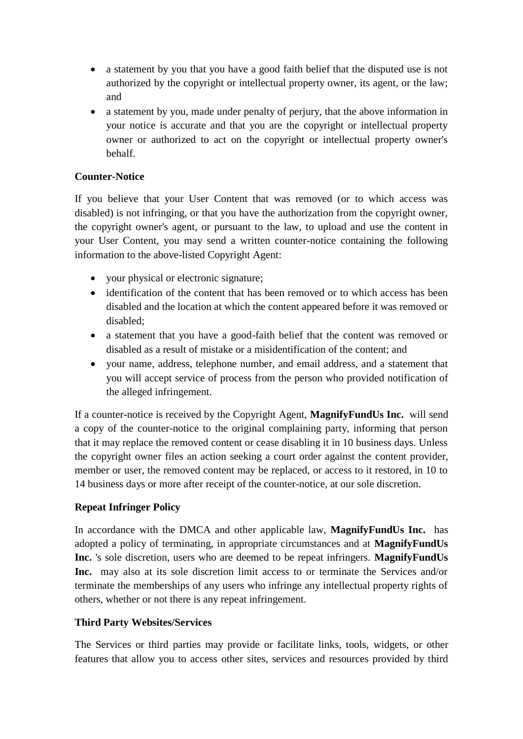- a statement by you that you have a good faith belief that the disputed use is not authorized by the copyright or intellectual property owner, its agent, or the law; and
- a statement by you, made under penalty of perjury, that the above information in your notice is accurate and that you are the copyright or intellectual property owner or authorized to act on the copyright or intellectual property owner's behalf.

# **Counter-Notice**

If you believe that your User Content that was removed (or to which access was disabled) is not infringing, or that you have the authorization from the copyright owner, the copyright owner's agent, or pursuant to the law, to upload and use the content in your User Content, you may send a written counter-notice containing the following information to the above-listed Copyright Agent:

- your physical or electronic signature;
- identification of the content that has been removed or to which access has been disabled and the location at which the content appeared before it was removed or disabled;
- a statement that you have a good-faith belief that the content was removed or disabled as a result of mistake or a misidentification of the content; and
- your name, address, telephone number, and email address, and a statement that you will accept service of process from the person who provided notification of the alleged infringement.

If a counter-notice is received by the Copyright Agent, **MagnifyFundUs Inc.** will send a copy of the counter-notice to the original complaining party, informing that person that it may replace the removed content or cease disabling it in 10 business days. Unless the copyright owner files an action seeking a court order against the content provider, member or user, the removed content may be replaced, or access to it restored, in 10 to 14 business days or more after receipt of the counter-notice, at our sole discretion.

# **Repeat Infringer Policy**

In accordance with the DMCA and other applicable law, **MagnifyFundUs Inc.** has adopted a policy of terminating, in appropriate circumstances and at **MagnifyFundUs Inc.** 's sole discretion, users who are deemed to be repeat infringers. **MagnifyFundUs Inc.** may also at its sole discretion limit access to or terminate the Services and/or terminate the memberships of any users who infringe any intellectual property rights of others, whether or not there is any repeat infringement.

### **Third Party Websites/Services**

The Services or third parties may provide or facilitate links, tools, widgets, or other features that allow you to access other sites, services and resources provided by third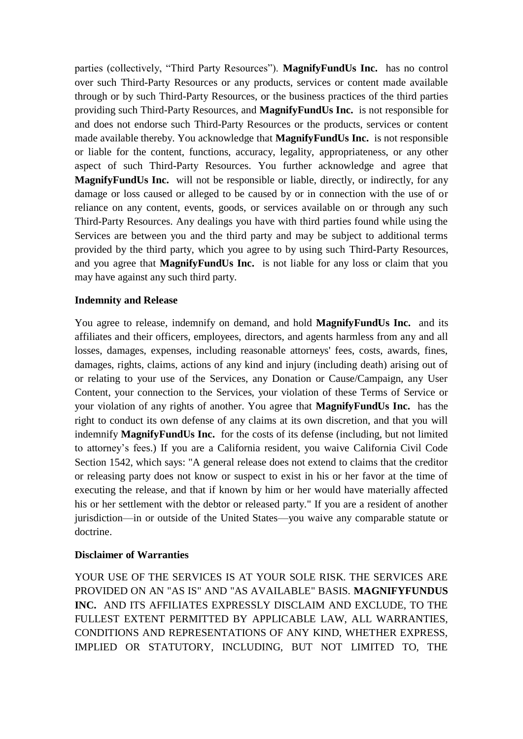parties (collectively, "Third Party Resources"). **MagnifyFundUs Inc.** has no control over such Third-Party Resources or any products, services or content made available through or by such Third-Party Resources, or the business practices of the third parties providing such Third-Party Resources, and **MagnifyFundUs Inc.** is not responsible for and does not endorse such Third-Party Resources or the products, services or content made available thereby. You acknowledge that **MagnifyFundUs Inc.** is not responsible or liable for the content, functions, accuracy, legality, appropriateness, or any other aspect of such Third-Party Resources. You further acknowledge and agree that **MagnifyFundUs Inc.** will not be responsible or liable, directly, or indirectly, for any damage or loss caused or alleged to be caused by or in connection with the use of or reliance on any content, events, goods, or services available on or through any such Third-Party Resources. Any dealings you have with third parties found while using the Services are between you and the third party and may be subject to additional terms provided by the third party, which you agree to by using such Third-Party Resources, and you agree that **MagnifyFundUs Inc.** is not liable for any loss or claim that you may have against any such third party.

#### **Indemnity and Release**

You agree to release, indemnify on demand, and hold **MagnifyFundUs Inc.** and its affiliates and their officers, employees, directors, and agents harmless from any and all losses, damages, expenses, including reasonable attorneys' fees, costs, awards, fines, damages, rights, claims, actions of any kind and injury (including death) arising out of or relating to your use of the Services, any Donation or Cause/Campaign, any User Content, your connection to the Services, your violation of these Terms of Service or your violation of any rights of another. You agree that **MagnifyFundUs Inc.** has the right to conduct its own defense of any claims at its own discretion, and that you will indemnify **MagnifyFundUs Inc.** for the costs of its defense (including, but not limited to attorney's fees.) If you are a California resident, you waive California Civil Code Section 1542, which says: "A general release does not extend to claims that the creditor or releasing party does not know or suspect to exist in his or her favor at the time of executing the release, and that if known by him or her would have materially affected his or her settlement with the debtor or released party." If you are a resident of another jurisdiction—in or outside of the United States—you waive any comparable statute or doctrine.

### **Disclaimer of Warranties**

YOUR USE OF THE SERVICES IS AT YOUR SOLE RISK. THE SERVICES ARE PROVIDED ON AN "AS IS" AND "AS AVAILABLE" BASIS. **MAGNIFYFUNDUS INC.** AND ITS AFFILIATES EXPRESSLY DISCLAIM AND EXCLUDE, TO THE FULLEST EXTENT PERMITTED BY APPLICABLE LAW, ALL WARRANTIES, CONDITIONS AND REPRESENTATIONS OF ANY KIND, WHETHER EXPRESS, IMPLIED OR STATUTORY, INCLUDING, BUT NOT LIMITED TO, THE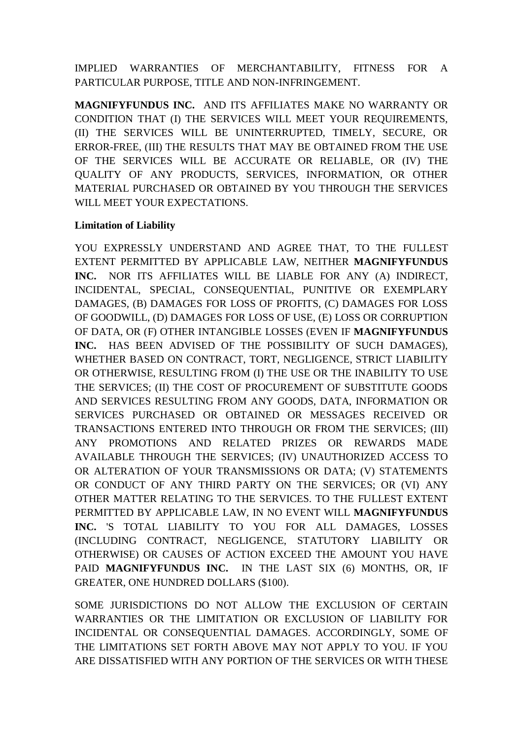IMPLIED WARRANTIES OF MERCHANTABILITY, FITNESS FOR A PARTICULAR PURPOSE, TITLE AND NON-INFRINGEMENT.

**MAGNIFYFUNDUS INC.** AND ITS AFFILIATES MAKE NO WARRANTY OR CONDITION THAT (I) THE SERVICES WILL MEET YOUR REQUIREMENTS, (II) THE SERVICES WILL BE UNINTERRUPTED, TIMELY, SECURE, OR ERROR-FREE, (III) THE RESULTS THAT MAY BE OBTAINED FROM THE USE OF THE SERVICES WILL BE ACCURATE OR RELIABLE, OR (IV) THE QUALITY OF ANY PRODUCTS, SERVICES, INFORMATION, OR OTHER MATERIAL PURCHASED OR OBTAINED BY YOU THROUGH THE SERVICES WILL MEET YOUR EXPECTATIONS.

### **Limitation of Liability**

YOU EXPRESSLY UNDERSTAND AND AGREE THAT, TO THE FULLEST EXTENT PERMITTED BY APPLICABLE LAW, NEITHER **MAGNIFYFUNDUS INC.** NOR ITS AFFILIATES WILL BE LIABLE FOR ANY (A) INDIRECT, INCIDENTAL, SPECIAL, CONSEQUENTIAL, PUNITIVE OR EXEMPLARY DAMAGES, (B) DAMAGES FOR LOSS OF PROFITS, (C) DAMAGES FOR LOSS OF GOODWILL, (D) DAMAGES FOR LOSS OF USE, (E) LOSS OR CORRUPTION OF DATA, OR (F) OTHER INTANGIBLE LOSSES (EVEN IF **MAGNIFYFUNDUS INC.** HAS BEEN ADVISED OF THE POSSIBILITY OF SUCH DAMAGES), WHETHER BASED ON CONTRACT, TORT, NEGLIGENCE, STRICT LIABILITY OR OTHERWISE, RESULTING FROM (I) THE USE OR THE INABILITY TO USE THE SERVICES; (II) THE COST OF PROCUREMENT OF SUBSTITUTE GOODS AND SERVICES RESULTING FROM ANY GOODS, DATA, INFORMATION OR SERVICES PURCHASED OR OBTAINED OR MESSAGES RECEIVED OR TRANSACTIONS ENTERED INTO THROUGH OR FROM THE SERVICES; (III) ANY PROMOTIONS AND RELATED PRIZES OR REWARDS MADE AVAILABLE THROUGH THE SERVICES; (IV) UNAUTHORIZED ACCESS TO OR ALTERATION OF YOUR TRANSMISSIONS OR DATA; (V) STATEMENTS OR CONDUCT OF ANY THIRD PARTY ON THE SERVICES; OR (VI) ANY OTHER MATTER RELATING TO THE SERVICES. TO THE FULLEST EXTENT PERMITTED BY APPLICABLE LAW, IN NO EVENT WILL **MAGNIFYFUNDUS INC.** 'S TOTAL LIABILITY TO YOU FOR ALL DAMAGES, LOSSES (INCLUDING CONTRACT, NEGLIGENCE, STATUTORY LIABILITY OR OTHERWISE) OR CAUSES OF ACTION EXCEED THE AMOUNT YOU HAVE PAID **MAGNIFYFUNDUS INC.** IN THE LAST SIX (6) MONTHS, OR, IF GREATER, ONE HUNDRED DOLLARS (\$100).

SOME JURISDICTIONS DO NOT ALLOW THE EXCLUSION OF CERTAIN WARRANTIES OR THE LIMITATION OR EXCLUSION OF LIABILITY FOR INCIDENTAL OR CONSEQUENTIAL DAMAGES. ACCORDINGLY, SOME OF THE LIMITATIONS SET FORTH ABOVE MAY NOT APPLY TO YOU. IF YOU ARE DISSATISFIED WITH ANY PORTION OF THE SERVICES OR WITH THESE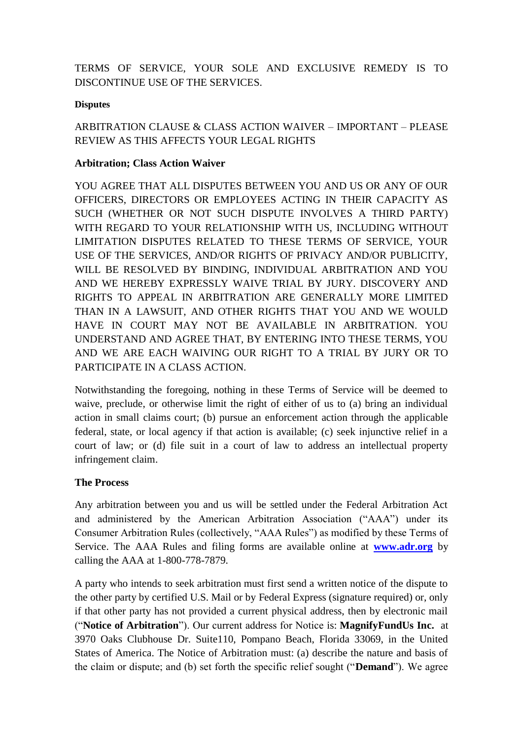TERMS OF SERVICE, YOUR SOLE AND EXCLUSIVE REMEDY IS TO DISCONTINUE USE OF THE SERVICES.

#### **Disputes**

# ARBITRATION CLAUSE & CLASS ACTION WAIVER – IMPORTANT – PLEASE REVIEW AS THIS AFFECTS YOUR LEGAL RIGHTS

### **Arbitration; Class Action Waiver**

YOU AGREE THAT ALL DISPUTES BETWEEN YOU AND US OR ANY OF OUR OFFICERS, DIRECTORS OR EMPLOYEES ACTING IN THEIR CAPACITY AS SUCH (WHETHER OR NOT SUCH DISPUTE INVOLVES A THIRD PARTY) WITH REGARD TO YOUR RELATIONSHIP WITH US, INCLUDING WITHOUT LIMITATION DISPUTES RELATED TO THESE TERMS OF SERVICE, YOUR USE OF THE SERVICES, AND/OR RIGHTS OF PRIVACY AND/OR PUBLICITY, WILL BE RESOLVED BY BINDING, INDIVIDUAL ARBITRATION AND YOU AND WE HEREBY EXPRESSLY WAIVE TRIAL BY JURY. DISCOVERY AND RIGHTS TO APPEAL IN ARBITRATION ARE GENERALLY MORE LIMITED THAN IN A LAWSUIT, AND OTHER RIGHTS THAT YOU AND WE WOULD HAVE IN COURT MAY NOT BE AVAILABLE IN ARBITRATION. YOU UNDERSTAND AND AGREE THAT, BY ENTERING INTO THESE TERMS, YOU AND WE ARE EACH WAIVING OUR RIGHT TO A TRIAL BY JURY OR TO PARTICIPATE IN A CLASS ACTION.

Notwithstanding the foregoing, nothing in these Terms of Service will be deemed to waive, preclude, or otherwise limit the right of either of us to (a) bring an individual action in small claims court; (b) pursue an enforcement action through the applicable federal, state, or local agency if that action is available; (c) seek injunctive relief in a court of law; or (d) file suit in a court of law to address an intellectual property infringement claim.

### **The Process**

Any arbitration between you and us will be settled under the Federal Arbitration Act and administered by the American Arbitration Association ("AAA") under its Consumer Arbitration Rules (collectively, "AAA Rules") as modified by these Terms of Service. The AAA Rules and filing forms are available online at **[www.adr.org](http://www.adr.org/)** by calling the AAA at 1-800-778-7879.

A party who intends to seek arbitration must first send a written notice of the dispute to the other party by certified U.S. Mail or by Federal Express (signature required) or, only if that other party has not provided a current physical address, then by electronic mail (―**Notice of Arbitration**‖). Our current address for Notice is: **MagnifyFundUs Inc.** at 3970 Oaks Clubhouse Dr. Suite110, Pompano Beach, Florida 33069, in the United States of America. The Notice of Arbitration must: (a) describe the nature and basis of the claim or dispute; and (b) set forth the specific relief sought ("**Demand**"). We agree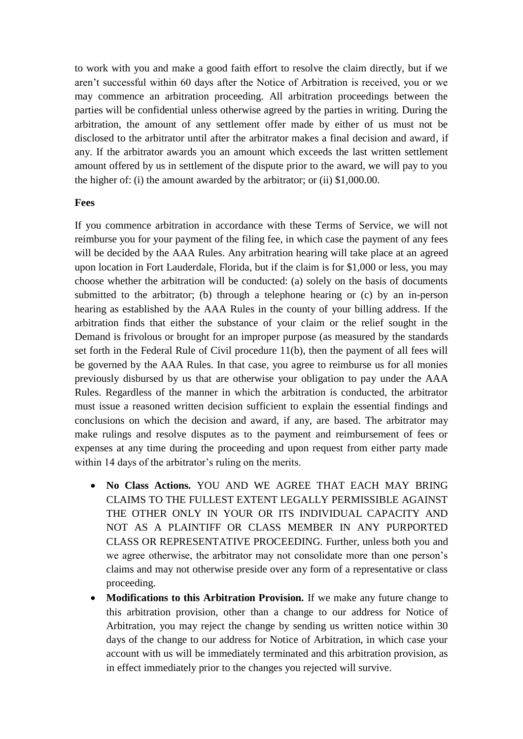to work with you and make a good faith effort to resolve the claim directly, but if we aren't successful within 60 days after the Notice of Arbitration is received, you or we may commence an arbitration proceeding. All arbitration proceedings between the parties will be confidential unless otherwise agreed by the parties in writing. During the arbitration, the amount of any settlement offer made by either of us must not be disclosed to the arbitrator until after the arbitrator makes a final decision and award, if any. If the arbitrator awards you an amount which exceeds the last written settlement amount offered by us in settlement of the dispute prior to the award, we will pay to you the higher of: (i) the amount awarded by the arbitrator; or (ii) \$1,000.00.

#### **Fees**

If you commence arbitration in accordance with these Terms of Service, we will not reimburse you for your payment of the filing fee, in which case the payment of any fees will be decided by the AAA Rules. Any arbitration hearing will take place at an agreed upon location in Fort Lauderdale, Florida, but if the claim is for \$1,000 or less, you may choose whether the arbitration will be conducted: (a) solely on the basis of documents submitted to the arbitrator; (b) through a telephone hearing or (c) by an in-person hearing as established by the AAA Rules in the county of your billing address. If the arbitration finds that either the substance of your claim or the relief sought in the Demand is frivolous or brought for an improper purpose (as measured by the standards set forth in the Federal Rule of Civil procedure 11(b), then the payment of all fees will be governed by the AAA Rules. In that case, you agree to reimburse us for all monies previously disbursed by us that are otherwise your obligation to pay under the AAA Rules. Regardless of the manner in which the arbitration is conducted, the arbitrator must issue a reasoned written decision sufficient to explain the essential findings and conclusions on which the decision and award, if any, are based. The arbitrator may make rulings and resolve disputes as to the payment and reimbursement of fees or expenses at any time during the proceeding and upon request from either party made within 14 days of the arbitrator's ruling on the merits.

- **No Class Actions.** YOU AND WE AGREE THAT EACH MAY BRING CLAIMS TO THE FULLEST EXTENT LEGALLY PERMISSIBLE AGAINST THE OTHER ONLY IN YOUR OR ITS INDIVIDUAL CAPACITY AND NOT AS A PLAINTIFF OR CLASS MEMBER IN ANY PURPORTED CLASS OR REPRESENTATIVE PROCEEDING. Further, unless both you and we agree otherwise, the arbitrator may not consolidate more than one person's claims and may not otherwise preside over any form of a representative or class proceeding.
- **Modifications to this Arbitration Provision.** If we make any future change to this arbitration provision, other than a change to our address for Notice of Arbitration, you may reject the change by sending us written notice within 30 days of the change to our address for Notice of Arbitration, in which case your account with us will be immediately terminated and this arbitration provision, as in effect immediately prior to the changes you rejected will survive.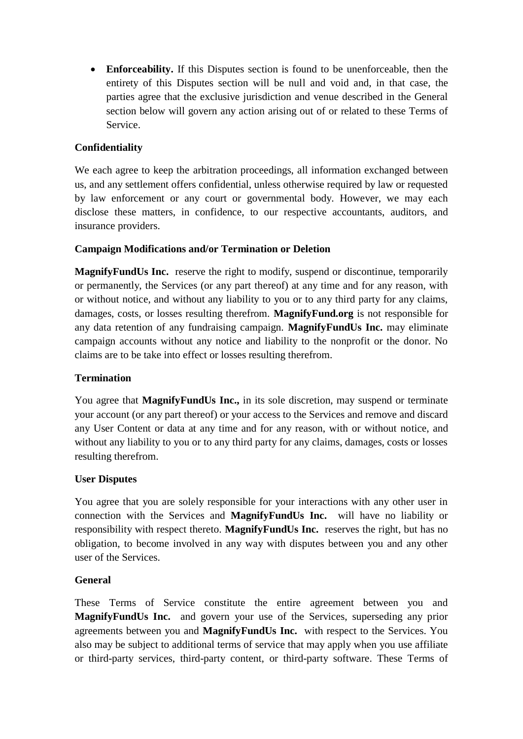**Enforceability.** If this Disputes section is found to be unenforceable, then the entirety of this Disputes section will be null and void and, in that case, the parties agree that the exclusive jurisdiction and venue described in the General section below will govern any action arising out of or related to these Terms of Service.

# **Confidentiality**

We each agree to keep the arbitration proceedings, all information exchanged between us, and any settlement offers confidential, unless otherwise required by law or requested by law enforcement or any court or governmental body. However, we may each disclose these matters, in confidence, to our respective accountants, auditors, and insurance providers.

### **Campaign Modifications and/or Termination or Deletion**

**MagnifyFundUs Inc.** reserve the right to modify, suspend or discontinue, temporarily or permanently, the Services (or any part thereof) at any time and for any reason, with or without notice, and without any liability to you or to any third party for any claims, damages, costs, or losses resulting therefrom. **MagnifyFund.org** is not responsible for any data retention of any fundraising campaign. **MagnifyFundUs Inc.** may eliminate campaign accounts without any notice and liability to the nonprofit or the donor. No claims are to be take into effect or losses resulting therefrom.

### **Termination**

You agree that **MagnifyFundUs Inc.,** in its sole discretion, may suspend or terminate your account (or any part thereof) or your access to the Services and remove and discard any User Content or data at any time and for any reason, with or without notice, and without any liability to you or to any third party for any claims, damages, costs or losses resulting therefrom.

#### **User Disputes**

You agree that you are solely responsible for your interactions with any other user in connection with the Services and **MagnifyFundUs Inc.** will have no liability or responsibility with respect thereto. **MagnifyFundUs Inc.** reserves the right, but has no obligation, to become involved in any way with disputes between you and any other user of the Services.

### **General**

These Terms of Service constitute the entire agreement between you and **MagnifyFundUs Inc.** and govern your use of the Services, superseding any prior agreements between you and **MagnifyFundUs Inc.** with respect to the Services. You also may be subject to additional terms of service that may apply when you use affiliate or third-party services, third-party content, or third-party software. These Terms of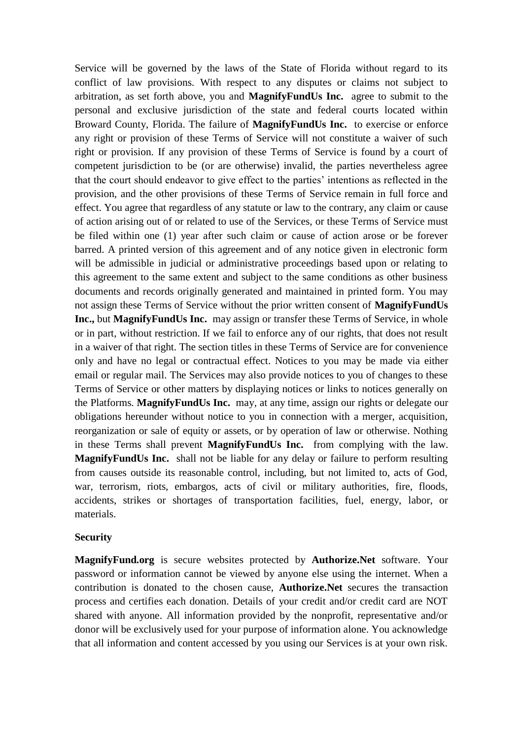Service will be governed by the laws of the State of Florida without regard to its conflict of law provisions. With respect to any disputes or claims not subject to arbitration, as set forth above, you and **MagnifyFundUs Inc.** agree to submit to the personal and exclusive jurisdiction of the state and federal courts located within Broward County, Florida. The failure of **MagnifyFundUs Inc.** to exercise or enforce any right or provision of these Terms of Service will not constitute a waiver of such right or provision. If any provision of these Terms of Service is found by a court of competent jurisdiction to be (or are otherwise) invalid, the parties nevertheless agree that the court should endeavor to give effect to the parties' intentions as reflected in the provision, and the other provisions of these Terms of Service remain in full force and effect. You agree that regardless of any statute or law to the contrary, any claim or cause of action arising out of or related to use of the Services, or these Terms of Service must be filed within one (1) year after such claim or cause of action arose or be forever barred. A printed version of this agreement and of any notice given in electronic form will be admissible in judicial or administrative proceedings based upon or relating to this agreement to the same extent and subject to the same conditions as other business documents and records originally generated and maintained in printed form. You may not assign these Terms of Service without the prior written consent of **MagnifyFundUs Inc.,** but **MagnifyFundUs Inc.** may assign or transfer these Terms of Service, in whole or in part, without restriction. If we fail to enforce any of our rights, that does not result in a waiver of that right. The section titles in these Terms of Service are for convenience only and have no legal or contractual effect. Notices to you may be made via either email or regular mail. The Services may also provide notices to you of changes to these Terms of Service or other matters by displaying notices or links to notices generally on the Platforms. **MagnifyFundUs Inc.** may, at any time, assign our rights or delegate our obligations hereunder without notice to you in connection with a merger, acquisition, reorganization or sale of equity or assets, or by operation of law or otherwise. Nothing in these Terms shall prevent **MagnifyFundUs Inc.** from complying with the law. **MagnifyFundUs Inc.** shall not be liable for any delay or failure to perform resulting from causes outside its reasonable control, including, but not limited to, acts of God, war, terrorism, riots, embargos, acts of civil or military authorities, fire, floods, accidents, strikes or shortages of transportation facilities, fuel, energy, labor, or materials.

#### **Security**

**MagnifyFund.org** is secure websites protected by **Authorize.Net** software. Your password or information cannot be viewed by anyone else using the internet. When a contribution is donated to the chosen cause, **Authorize.Net** secures the transaction process and certifies each donation. Details of your credit and/or credit card are NOT shared with anyone. All information provided by the nonprofit, representative and/or donor will be exclusively used for your purpose of information alone. You acknowledge that all information and content accessed by you using our Services is at your own risk.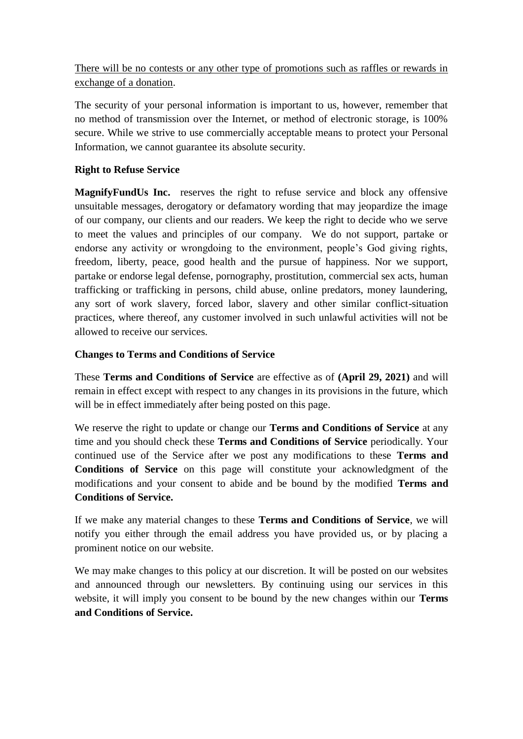There will be no contests or any other type of promotions such as raffles or rewards in exchange of a donation.

The security of your personal information is important to us, however, remember that no method of transmission over the Internet, or method of electronic storage, is 100% secure. While we strive to use commercially acceptable means to protect your Personal Information, we cannot guarantee its absolute security.

# **Right to Refuse Service**

**MagnifyFundUs Inc.** reserves the right to refuse service and block any offensive unsuitable messages, derogatory or defamatory wording that may jeopardize the image of our company, our clients and our readers. We keep the right to decide who we serve to meet the values and principles of our company. We do not support, partake or endorse any activity or wrongdoing to the environment, people's God giving rights, freedom, liberty, peace, good health and the pursue of happiness. Nor we support, partake or endorse legal defense, pornography, prostitution, commercial sex acts, human trafficking or trafficking in persons, child abuse, online predators, money laundering, any sort of work slavery, forced labor, slavery and other similar conflict-situation practices, where thereof, any customer involved in such unlawful activities will not be allowed to receive our services.

### **Changes to Terms and Conditions of Service**

These **Terms and Conditions of Service** are effective as of **(April 29, 2021)** and will remain in effect except with respect to any changes in its provisions in the future, which will be in effect immediately after being posted on this page.

We reserve the right to update or change our **Terms and Conditions of Service** at any time and you should check these **Terms and Conditions of Service** periodically. Your continued use of the Service after we post any modifications to these **Terms and Conditions of Service** on this page will constitute your acknowledgment of the modifications and your consent to abide and be bound by the modified **Terms and Conditions of Service.**

If we make any material changes to these **Terms and Conditions of Service**, we will notify you either through the email address you have provided us, or by placing a prominent notice on our website.

We may make changes to this policy at our discretion. It will be posted on our websites and announced through our newsletters. By continuing using our services in this website, it will imply you consent to be bound by the new changes within our **Terms and Conditions of Service.**